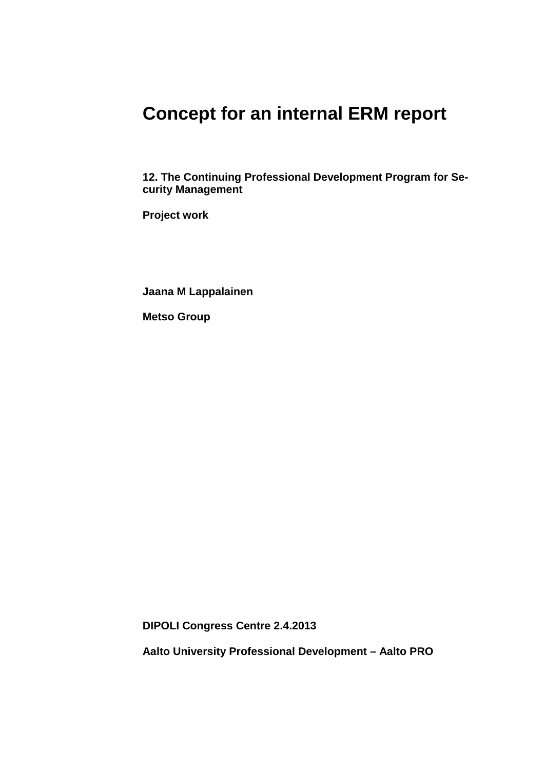## **Concept for an internal ERM report**

**12. The Continuing Professional Development Program for Security Management**

**Project work**

**Jaana M Lappalainen**

**Metso Group**

**DIPOLI Congress Centre 2.4.2013**

**Aalto University Professional Development – Aalto PRO**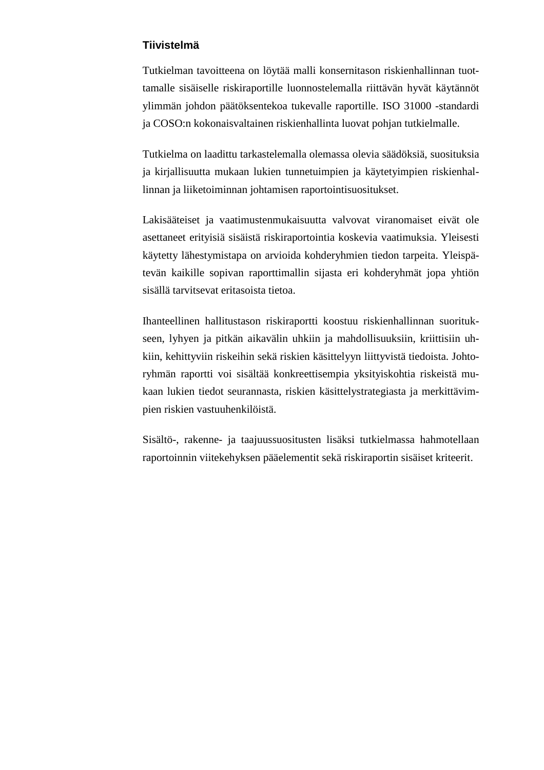## **Tiivistelmä**

Tutkielman tavoitteena on löytää malli konsernitason riskienhallinnan tuottamalle sisäiselle riskiraportille luonnostelemalla riittävän hyvät käytännöt ylimmän johdon päätöksentekoa tukevalle raportille. ISO 31000 -standardi ja COSO:n kokonaisvaltainen riskienhallinta luovat pohjan tutkielmalle.

Tutkielma on laadittu tarkastelemalla olemassa olevia säädöksiä, suosituksia ja kirjallisuutta mukaan lukien tunnetuimpien ja käytetyimpien riskienhallinnan ja liiketoiminnan johtamisen raportointisuositukset.

Lakisääteiset ja vaatimustenmukaisuutta valvovat viranomaiset eivät ole asettaneet erityisiä sisäistä riskiraportointia koskevia vaatimuksia. Yleisesti käytetty lähestymistapa on arvioida kohderyhmien tiedon tarpeita. Yleispätevän kaikille sopivan raporttimallin sijasta eri kohderyhmät jopa yhtiön sisällä tarvitsevat eritasoista tietoa.

Ihanteellinen hallitustason riskiraportti koostuu riskienhallinnan suoritukseen, lyhyen ja pitkän aikavälin uhkiin ja mahdollisuuksiin, kriittisiin uhkiin, kehittyviin riskeihin sekä riskien käsittelyyn liittyvistä tiedoista. Johtoryhmän raportti voi sisältää konkreettisempia yksityiskohtia riskeistä mukaan lukien tiedot seurannasta, riskien käsittelystrategiasta ja merkittävimpien riskien vastuuhenkilöistä.

Sisältö-, rakenne- ja taajuussuositusten lisäksi tutkielmassa hahmotellaan raportoinnin viitekehyksen pääelementit sekä riskiraportin sisäiset kriteerit.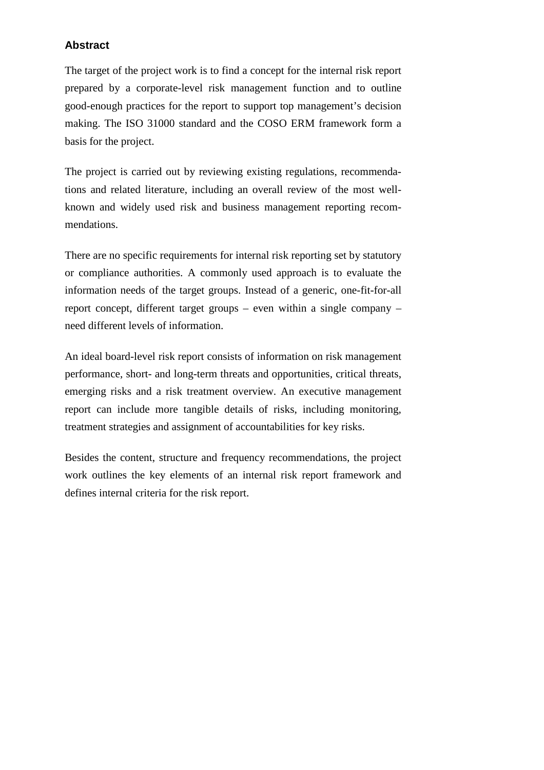## **Abstract**

The target of the project work is to find a concept for the internal risk report prepared by a corporate-level risk management function and to outline good-enough practices for the report to support top management's decision making. The ISO 31000 standard and the COSO ERM framework form a basis for the project.

The project is carried out by reviewing existing regulations, recommendations and related literature, including an overall review of the most wellknown and widely used risk and business management reporting recommendations.

There are no specific requirements for internal risk reporting set by statutory or compliance authorities. A commonly used approach is to evaluate the information needs of the target groups. Instead of a generic, one-fit-for-all report concept, different target groups – even within a single company – need different levels of information.

An ideal board-level risk report consists of information on risk management performance, short- and long-term threats and opportunities, critical threats, emerging risks and a risk treatment overview. An executive management report can include more tangible details of risks, including monitoring, treatment strategies and assignment of accountabilities for key risks.

Besides the content, structure and frequency recommendations, the project work outlines the key elements of an internal risk report framework and defines internal criteria for the risk report.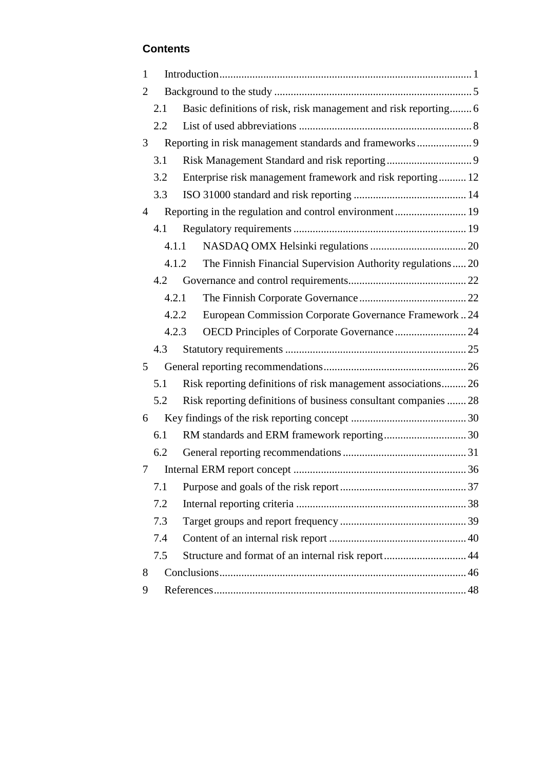## **Contents**

| $\mathbf{1}$   |       |                                                                 |  |
|----------------|-------|-----------------------------------------------------------------|--|
| 2              |       |                                                                 |  |
|                | 2.1   | Basic definitions of risk, risk management and risk reporting 6 |  |
|                | 2.2   |                                                                 |  |
| 3              |       | Reporting in risk management standards and frameworks9          |  |
|                | 3.1   |                                                                 |  |
|                | 3.2   | Enterprise risk management framework and risk reporting 12      |  |
|                | 3.3   |                                                                 |  |
| $\overline{4}$ |       | Reporting in the regulation and control environment 19          |  |
|                | 4.1   |                                                                 |  |
|                | 4.1.1 |                                                                 |  |
|                | 4.1.2 | The Finnish Financial Supervision Authority regulations  20     |  |
|                | 4.2   |                                                                 |  |
|                | 4.2.1 |                                                                 |  |
|                |       | European Commission Corporate Governance Framework24<br>4.2.2   |  |
|                | 4.2.3 |                                                                 |  |
|                | 4.3   |                                                                 |  |
| 5              |       |                                                                 |  |
|                | 5.1   | Risk reporting definitions of risk management associations 26   |  |
|                | 5.2   | Risk reporting definitions of business consultant companies  28 |  |
| 6              |       |                                                                 |  |
|                | 6.1   |                                                                 |  |
|                | 6.2   |                                                                 |  |
| 7              |       |                                                                 |  |
|                | 7.1   |                                                                 |  |
|                | 7.2   |                                                                 |  |
|                | 7.3   |                                                                 |  |
|                | 7.4   |                                                                 |  |
|                | 7.5   | Structure and format of an internal risk report 44              |  |
| 8              |       |                                                                 |  |
| 9              |       |                                                                 |  |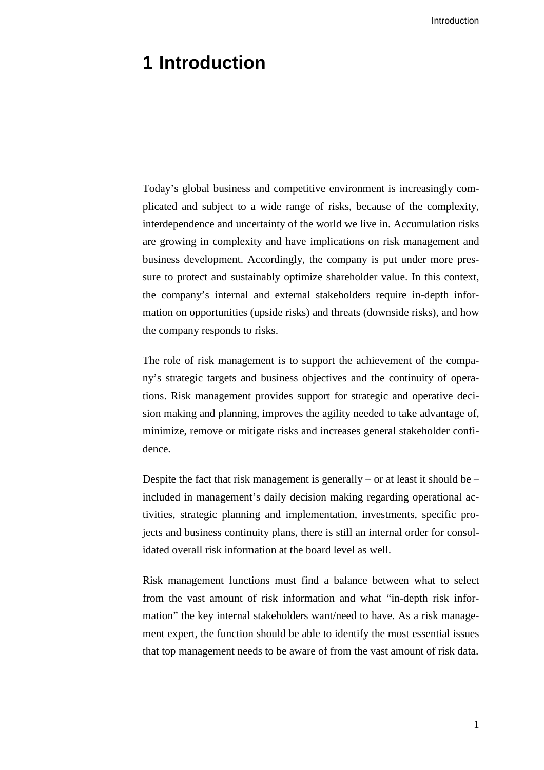## <span id="page-6-0"></span>**1 Introduction**

Today's global business and competitive environment is increasingly complicated and subject to a wide range of risks, because of the complexity, interdependence and uncertainty of the world we live in. Accumulation risks are growing in complexity and have implications on risk management and business development. Accordingly, the company is put under more pressure to protect and sustainably optimize shareholder value. In this context, the company's internal and external stakeholders require in-depth information on opportunities (upside risks) and threats (downside risks), and how the company responds to risks.

The role of risk management is to support the achievement of the company's strategic targets and business objectives and the continuity of operations. Risk management provides support for strategic and operative decision making and planning, improves the agility needed to take advantage of, minimize, remove or mitigate risks and increases general stakeholder confidence.

Despite the fact that risk management is generally – or at least it should be – included in management's daily decision making regarding operational activities, strategic planning and implementation, investments, specific projects and business continuity plans, there is still an internal order for consolidated overall risk information at the board level as well.

Risk management functions must find a balance between what to select from the vast amount of risk information and what "in-depth risk information" the key internal stakeholders want/need to have. As a risk management expert, the function should be able to identify the most essential issues that top management needs to be aware of from the vast amount of risk data.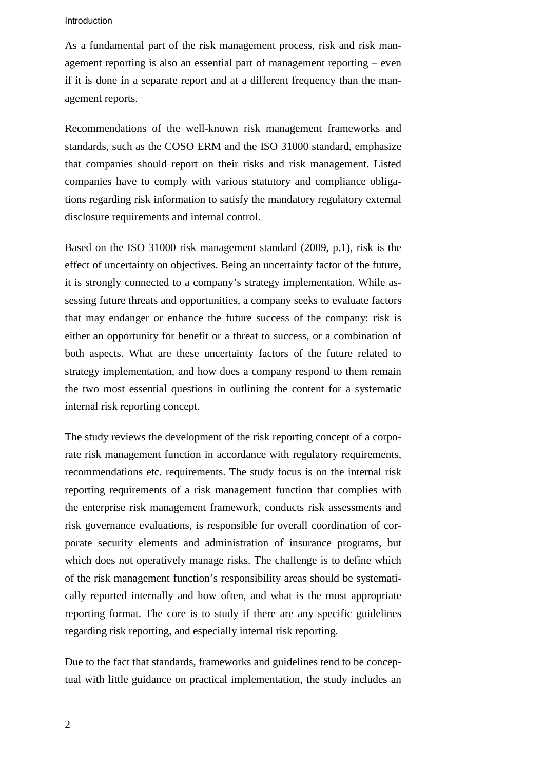#### Introduction

As a fundamental part of the risk management process, risk and risk management reporting is also an essential part of management reporting – even if it is done in a separate report and at a different frequency than the management reports.

Recommendations of the well-known risk management frameworks and standards, such as the COSO ERM and the ISO 31000 standard, emphasize that companies should report on their risks and risk management. Listed companies have to comply with various statutory and compliance obligations regarding risk information to satisfy the mandatory regulatory external disclosure requirements and internal control.

Based on the ISO 31000 risk management standard (2009, p.1), risk is the effect of uncertainty on objectives. Being an uncertainty factor of the future, it is strongly connected to a company's strategy implementation. While assessing future threats and opportunities, a company seeks to evaluate factors that may endanger or enhance the future success of the company: risk is either an opportunity for benefit or a threat to success, or a combination of both aspects. What are these uncertainty factors of the future related to strategy implementation, and how does a company respond to them remain the two most essential questions in outlining the content for a systematic internal risk reporting concept.

The study reviews the development of the risk reporting concept of a corporate risk management function in accordance with regulatory requirements, recommendations etc. requirements. The study focus is on the internal risk reporting requirements of a risk management function that complies with the enterprise risk management framework, conducts risk assessments and risk governance evaluations, is responsible for overall coordination of corporate security elements and administration of insurance programs, but which does not operatively manage risks. The challenge is to define which of the risk management function's responsibility areas should be systematically reported internally and how often, and what is the most appropriate reporting format. The core is to study if there are any specific guidelines regarding risk reporting, and especially internal risk reporting.

Due to the fact that standards, frameworks and guidelines tend to be conceptual with little guidance on practical implementation, the study includes an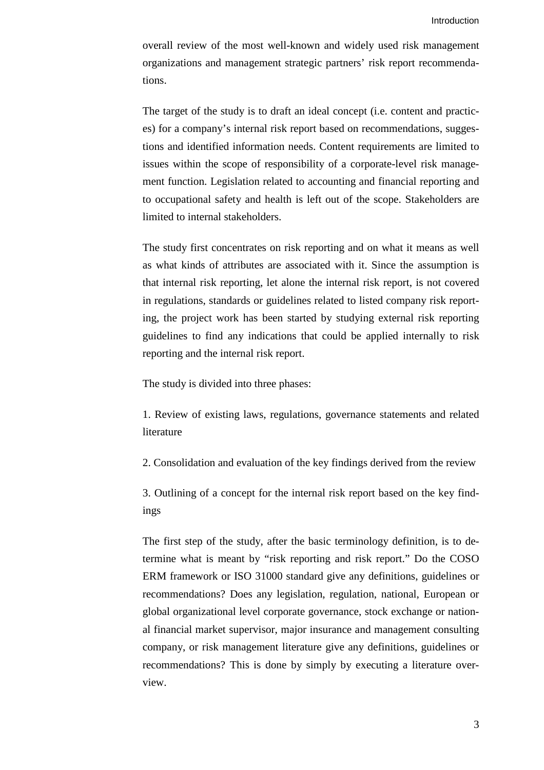overall review of the most well-known and widely used risk management organizations and management strategic partners' risk report recommendations.

The target of the study is to draft an ideal concept (i.e. content and practices) for a company's internal risk report based on recommendations, suggestions and identified information needs. Content requirements are limited to issues within the scope of responsibility of a corporate-level risk management function. Legislation related to accounting and financial reporting and to occupational safety and health is left out of the scope. Stakeholders are limited to internal stakeholders.

The study first concentrates on risk reporting and on what it means as well as what kinds of attributes are associated with it. Since the assumption is that internal risk reporting, let alone the internal risk report, is not covered in regulations, standards or guidelines related to listed company risk reporting, the project work has been started by studying external risk reporting guidelines to find any indications that could be applied internally to risk reporting and the internal risk report.

The study is divided into three phases:

1. Review of existing laws, regulations, governance statements and related literature

2. Consolidation and evaluation of the key findings derived from the review

3. Outlining of a concept for the internal risk report based on the key findings

The first step of the study, after the basic terminology definition, is to determine what is meant by "risk reporting and risk report." Do the COSO ERM framework or ISO 31000 standard give any definitions, guidelines or recommendations? Does any legislation, regulation, national, European or global organizational level corporate governance, stock exchange or national financial market supervisor, major insurance and management consulting company, or risk management literature give any definitions, guidelines or recommendations? This is done by simply by executing a literature overview.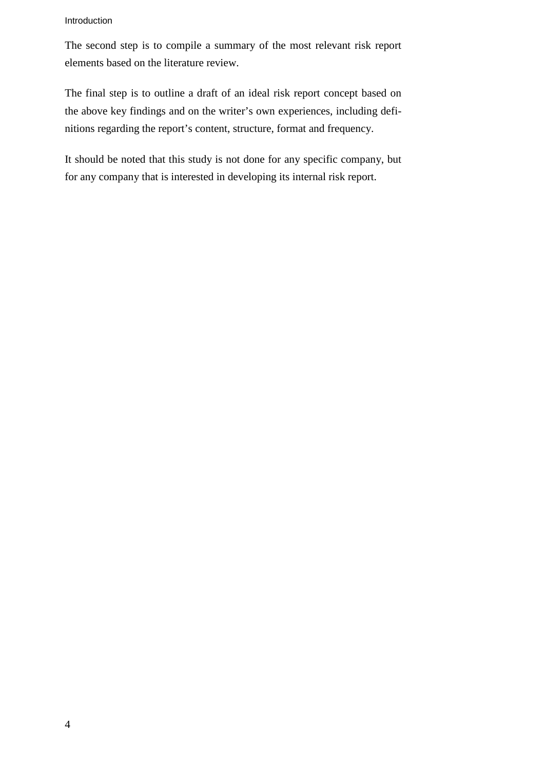#### Introduction

The second step is to compile a summary of the most relevant risk report elements based on the literature review.

The final step is to outline a draft of an ideal risk report concept based on the above key findings and on the writer's own experiences, including definitions regarding the report's content, structure, format and frequency.

It should be noted that this study is not done for any specific company, but for any company that is interested in developing its internal risk report.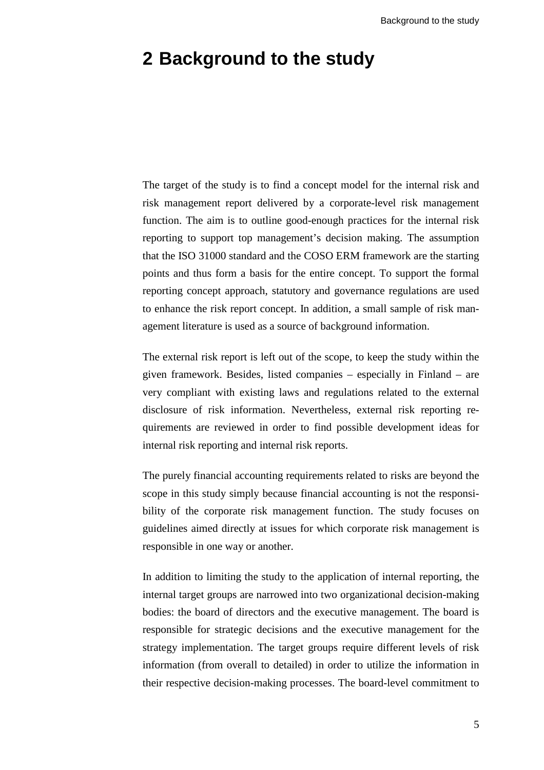## <span id="page-10-0"></span>**2 Background to the study**

The target of the study is to find a concept model for the internal risk and risk management report delivered by a corporate-level risk management function. The aim is to outline good-enough practices for the internal risk reporting to support top management's decision making. The assumption that the ISO 31000 standard and the COSO ERM framework are the starting points and thus form a basis for the entire concept. To support the formal reporting concept approach, statutory and governance regulations are used to enhance the risk report concept. In addition, a small sample of risk management literature is used as a source of background information.

The external risk report is left out of the scope, to keep the study within the given framework. Besides, listed companies – especially in Finland – are very compliant with existing laws and regulations related to the external disclosure of risk information. Nevertheless, external risk reporting requirements are reviewed in order to find possible development ideas for internal risk reporting and internal risk reports.

The purely financial accounting requirements related to risks are beyond the scope in this study simply because financial accounting is not the responsibility of the corporate risk management function. The study focuses on guidelines aimed directly at issues for which corporate risk management is responsible in one way or another.

In addition to limiting the study to the application of internal reporting, the internal target groups are narrowed into two organizational decision-making bodies: the board of directors and the executive management. The board is responsible for strategic decisions and the executive management for the strategy implementation. The target groups require different levels of risk information (from overall to detailed) in order to utilize the information in their respective decision-making processes. The board-level commitment to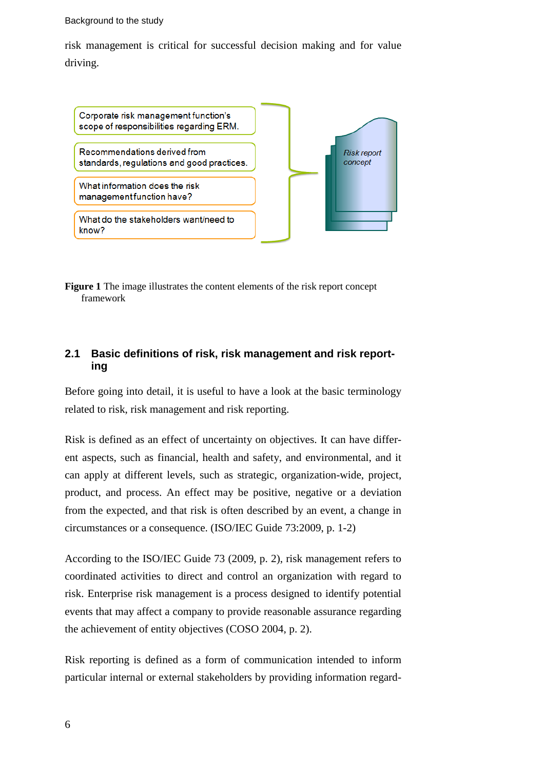#### Background to the study

risk management is critical for successful decision making and for value driving.



**Figure 1** The image illustrates the content elements of the risk report concept framework

## <span id="page-11-0"></span>**2.1 Basic definitions of risk, risk management and risk reporting**

Before going into detail, it is useful to have a look at the basic terminology related to risk, risk management and risk reporting.

Risk is defined as an effect of uncertainty on objectives. It can have different aspects, such as financial, health and safety, and environmental, and it can apply at different levels, such as strategic, organization-wide, project, product, and process. An effect may be positive, negative or a deviation from the expected, and that risk is often described by an event, a change in circumstances or a consequence. (ISO/IEC Guide 73:2009, p. 1-2)

According to the ISO/IEC Guide 73 (2009, p. 2), risk management refers to coordinated activities to direct and control an organization with regard to risk. Enterprise risk management is a process designed to identify potential events that may affect a company to provide reasonable assurance regarding the achievement of entity objectives (COSO 2004, p. 2).

Risk reporting is defined as a form of communication intended to inform particular internal or external stakeholders by providing information regard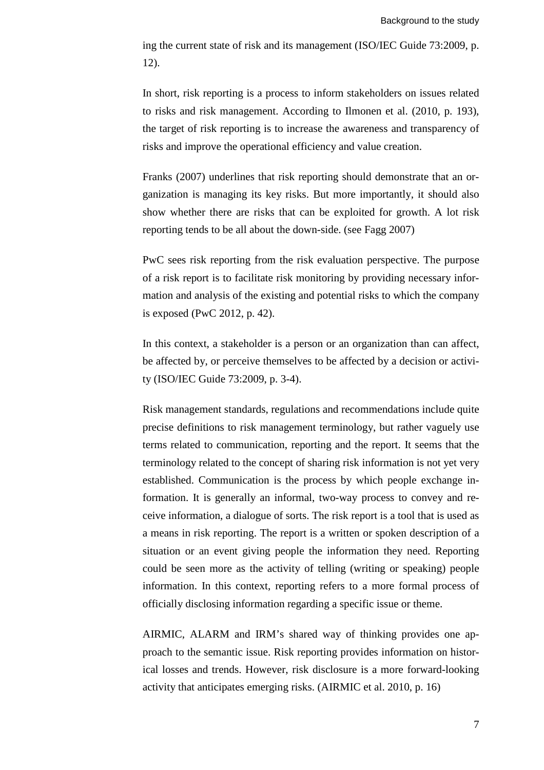ing the current state of risk and its management (ISO/IEC Guide 73:2009, p. 12).

In short, risk reporting is a process to inform stakeholders on issues related to risks and risk management. According to Ilmonen et al. (2010, p. 193), the target of risk reporting is to increase the awareness and transparency of risks and improve the operational efficiency and value creation.

Franks (2007) underlines that risk reporting should demonstrate that an organization is managing its key risks. But more importantly, it should also show whether there are risks that can be exploited for growth. A lot risk reporting tends to be all about the down-side. (see Fagg 2007)

PwC sees risk reporting from the risk evaluation perspective. The purpose of a risk report is to facilitate risk monitoring by providing necessary information and analysis of the existing and potential risks to which the company is exposed (PwC 2012, p. 42).

In this context, a stakeholder is a person or an organization than can affect, be affected by, or perceive themselves to be affected by a decision or activity (ISO/IEC Guide 73:2009, p. 3-4).

Risk management standards, regulations and recommendations include quite precise definitions to risk management terminology, but rather vaguely use terms related to communication, reporting and the report. It seems that the terminology related to the concept of sharing risk information is not yet very established. Communication is the process by which people exchange information. It is generally an informal, two-way process to convey and receive information, a dialogue of sorts. The risk report is a tool that is used as a means in risk reporting. The report is a written or spoken description of a situation or an event giving people the information they need. Reporting could be seen more as the activity of telling (writing or speaking) people information. In this context, reporting refers to a more formal process of officially disclosing information regarding a specific issue or theme.

AIRMIC, ALARM and IRM's shared way of thinking provides one approach to the semantic issue. Risk reporting provides information on historical losses and trends. However, risk disclosure is a more forward-looking activity that anticipates emerging risks. (AIRMIC et al. 2010, p. 16)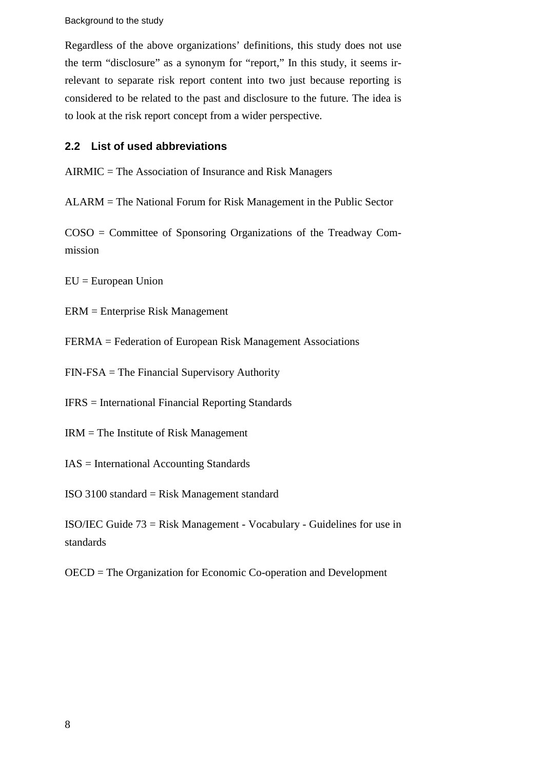Background to the study

Regardless of the above organizations' definitions, this study does not use the term "disclosure" as a synonym for "report," In this study, it seems irrelevant to separate risk report content into two just because reporting is considered to be related to the past and disclosure to the future. The idea is to look at the risk report concept from a wider perspective.

## <span id="page-13-0"></span>**2.2 List of used abbreviations**

AIRMIC = The Association of Insurance and Risk Managers

ALARM = The National Forum for Risk Management in the Public Sector

COSO = Committee of Sponsoring Organizations of the Treadway Commission

EU = European Union

ERM = Enterprise Risk Management

FERMA = Federation of European Risk Management Associations

FIN-FSA = The Financial Supervisory Authority

IFRS = International Financial Reporting Standards

IRM = The Institute of Risk Management

IAS = International Accounting Standards

ISO 3100 standard = Risk Management standard

ISO/IEC Guide 73 = Risk Management - Vocabulary - Guidelines for use in standards

OECD = The Organization for Economic Co-operation and Development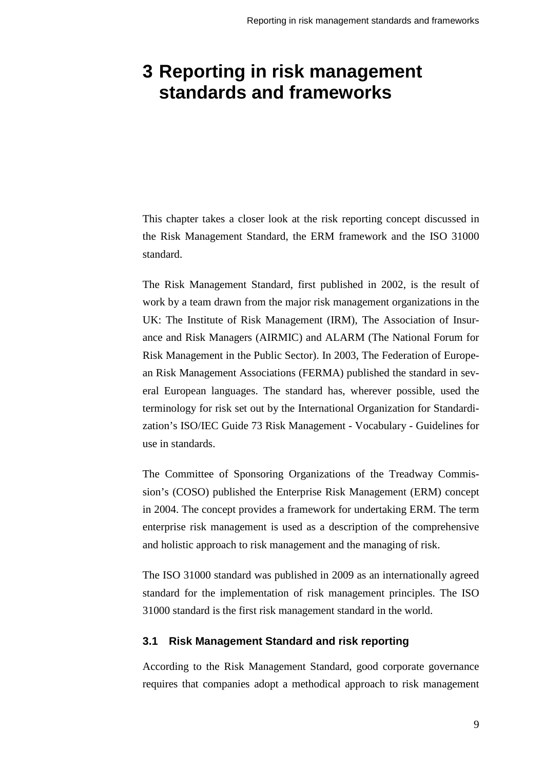## <span id="page-14-0"></span>**3 Reporting in risk management standards and frameworks**

This chapter takes a closer look at the risk reporting concept discussed in the Risk Management Standard, the ERM framework and the ISO 31000 standard.

The Risk Management Standard, first published in 2002, is the result of work by a team drawn from the major risk management organizations in the UK: The Institute of Risk Management (IRM), The Association of Insurance and Risk Managers (AIRMIC) and ALARM (The National Forum for Risk Management in the Public Sector). In 2003, The Federation of European Risk Management Associations (FERMA) published the standard in several European languages. The standard has, wherever possible, used the terminology for risk set out by the International Organization for Standardization's ISO/IEC Guide 73 Risk Management - Vocabulary - Guidelines for use in standards.

The Committee of Sponsoring Organizations of the Treadway Commission's (COSO) published the Enterprise Risk Management (ERM) concept in 2004. The concept provides a framework for undertaking ERM. The term enterprise risk management is used as a description of the comprehensive and holistic approach to risk management and the managing of risk.

The ISO 31000 standard was published in 2009 as an internationally agreed standard for the implementation of risk management principles. The ISO 31000 standard is the first risk management standard in the world.

#### <span id="page-14-1"></span>**3.1 Risk Management Standard and risk reporting**

According to the Risk Management Standard, good corporate governance requires that companies adopt a methodical approach to risk management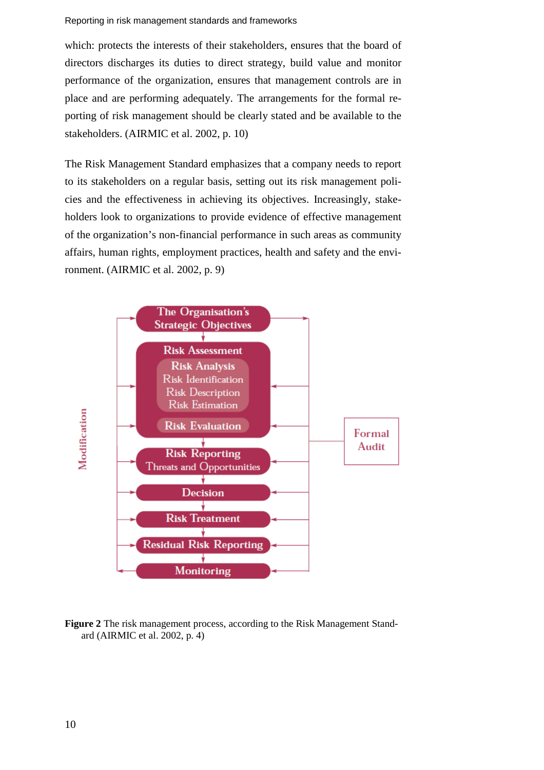#### Reporting in risk management standards and frameworks

which: protects the interests of their stakeholders, ensures that the board of directors discharges its duties to direct strategy, build value and monitor performance of the organization, ensures that management controls are in place and are performing adequately. The arrangements for the formal reporting of risk management should be clearly stated and be available to the stakeholders. (AIRMIC et al. 2002, p. 10)

The Risk Management Standard emphasizes that a company needs to report to its stakeholders on a regular basis, setting out its risk management policies and the effectiveness in achieving its objectives. Increasingly, stakeholders look to organizations to provide evidence of effective management of the organization's non-financial performance in such areas as community affairs, human rights, employment practices, health and safety and the environment. (AIRMIC et al. 2002, p. 9)



**Figure 2** The risk management process, according to the Risk Management Standard (AIRMIC et al. 2002, p. 4)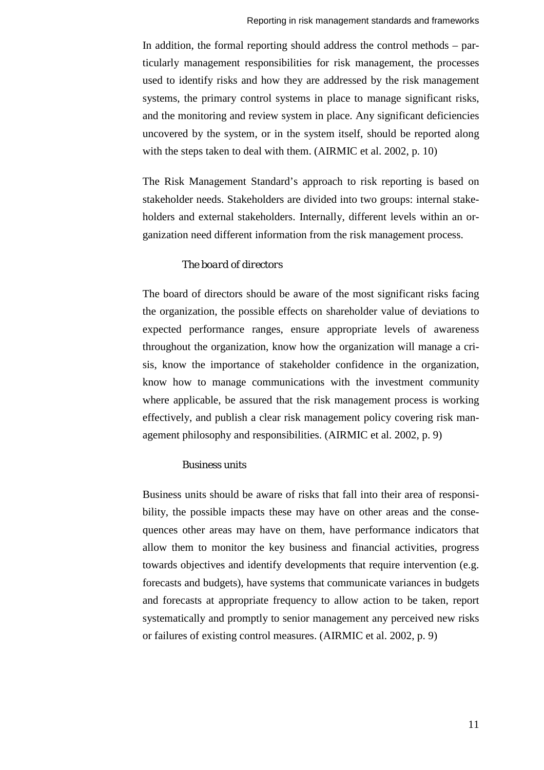In addition, the formal reporting should address the control methods – particularly management responsibilities for risk management, the processes used to identify risks and how they are addressed by the risk management systems, the primary control systems in place to manage significant risks, and the monitoring and review system in place. Any significant deficiencies uncovered by the system, or in the system itself, should be reported along with the steps taken to deal with them. (AIRMIC et al. 2002, p. 10)

The Risk Management Standard's approach to risk reporting is based on stakeholder needs. Stakeholders are divided into two groups: internal stakeholders and external stakeholders. Internally, different levels within an organization need different information from the risk management process.

#### *The board of directors*

The board of directors should be aware of the most significant risks facing the organization, the possible effects on shareholder value of deviations to expected performance ranges, ensure appropriate levels of awareness throughout the organization, know how the organization will manage a crisis, know the importance of stakeholder confidence in the organization, know how to manage communications with the investment community where applicable, be assured that the risk management process is working effectively, and publish a clear risk management policy covering risk management philosophy and responsibilities. (AIRMIC et al. 2002, p. 9)

#### *Business units*

Business units should be aware of risks that fall into their area of responsibility, the possible impacts these may have on other areas and the consequences other areas may have on them, have performance indicators that allow them to monitor the key business and financial activities, progress towards objectives and identify developments that require intervention (e.g. forecasts and budgets), have systems that communicate variances in budgets and forecasts at appropriate frequency to allow action to be taken, report systematically and promptly to senior management any perceived new risks or failures of existing control measures. (AIRMIC et al. 2002, p. 9)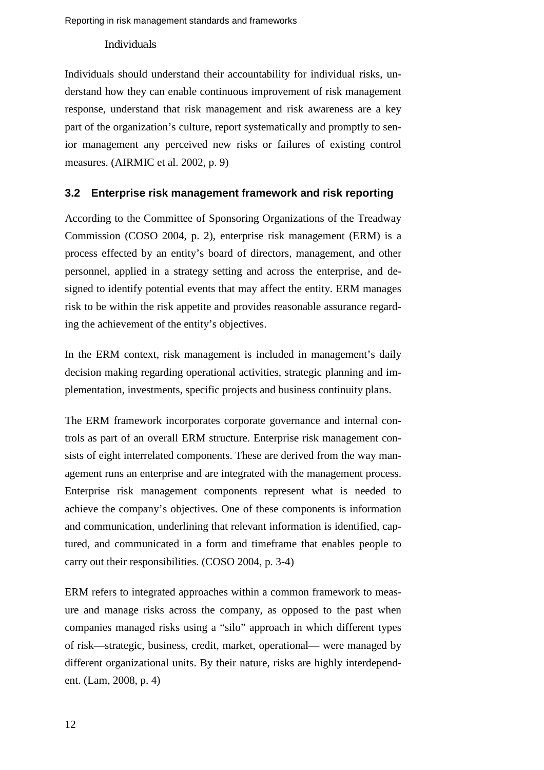### *Individuals*

Individuals should understand their accountability for individual risks, understand how they can enable continuous improvement of risk management response, understand that risk management and risk awareness are a key part of the organization's culture, report systematically and promptly to senior management any perceived new risks or failures of existing control measures. (AIRMIC et al. 2002, p. 9)

## <span id="page-17-0"></span>**3.2 Enterprise risk management framework and risk reporting**

According to the Committee of Sponsoring Organizations of the Treadway Commission (COSO 2004, p. 2), enterprise risk management (ERM) is a process effected by an entity's board of directors, management, and other personnel, applied in a strategy setting and across the enterprise, and designed to identify potential events that may affect the entity. ERM manages risk to be within the risk appetite and provides reasonable assurance regarding the achievement of the entity's objectives.

In the ERM context, risk management is included in management's daily decision making regarding operational activities, strategic planning and implementation, investments, specific projects and business continuity plans.

The ERM framework incorporates corporate governance and internal controls as part of an overall ERM structure. Enterprise risk management consists of eight interrelated components. These are derived from the way management runs an enterprise and are integrated with the management process. Enterprise risk management components represent what is needed to achieve the company's objectives. One of these components is information and communication, underlining that relevant information is identified, captured, and communicated in a form and timeframe that enables people to carry out their responsibilities. (COSO 2004, p. 3-4)

ERM refers to integrated approaches within a common framework to measure and manage risks across the company, as opposed to the past when companies managed risks using a "silo" approach in which different types of risk—strategic, business, credit, market, operational— were managed by different organizational units. By their nature, risks are highly interdependent. (Lam, 2008, p. 4)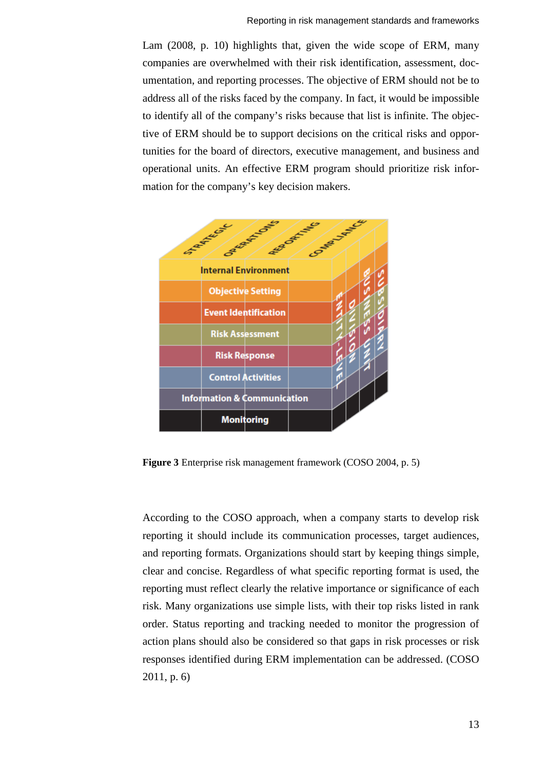Lam (2008, p. 10) highlights that, given the wide scope of ERM, many companies are overwhelmed with their risk identification, assessment, documentation, and reporting processes. The objective of ERM should not be to address all of the risks faced by the company. In fact, it would be impossible to identify all of the company's risks because that list is infinite. The objective of ERM should be to support decisions on the critical risks and opportunities for the board of directors, executive management, and business and operational units. An effective ERM program should prioritize risk information for the company's key decision makers.



**Figure 3** Enterprise risk management framework (COSO 2004, p. 5)

According to the COSO approach, when a company starts to develop risk reporting it should include its communication processes, target audiences, and reporting formats. Organizations should start by keeping things simple, clear and concise. Regardless of what specific reporting format is used, the reporting must reflect clearly the relative importance or significance of each risk. Many organizations use simple lists, with their top risks listed in rank order. Status reporting and tracking needed to monitor the progression of action plans should also be considered so that gaps in risk processes or risk responses identified during ERM implementation can be addressed. (COSO 2011, p. 6)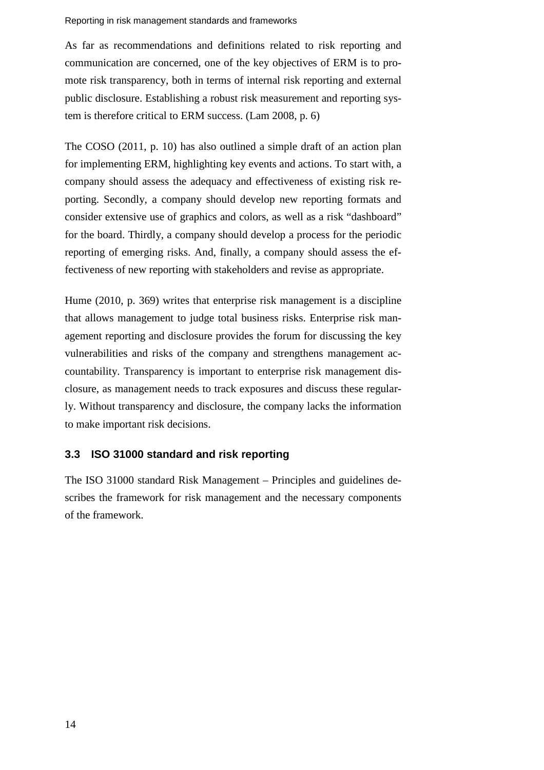#### Reporting in risk management standards and frameworks

As far as recommendations and definitions related to risk reporting and communication are concerned, one of the key objectives of ERM is to promote risk transparency, both in terms of internal risk reporting and external public disclosure. Establishing a robust risk measurement and reporting system is therefore critical to ERM success. (Lam 2008, p. 6)

The COSO (2011, p. 10) has also outlined a simple draft of an action plan for implementing ERM, highlighting key events and actions. To start with, a company should assess the adequacy and effectiveness of existing risk reporting. Secondly, a company should develop new reporting formats and consider extensive use of graphics and colors, as well as a risk "dashboard" for the board. Thirdly, a company should develop a process for the periodic reporting of emerging risks. And, finally, a company should assess the effectiveness of new reporting with stakeholders and revise as appropriate.

Hume (2010, p. 369) writes that enterprise risk management is a discipline that allows management to judge total business risks. Enterprise risk management reporting and disclosure provides the forum for discussing the key vulnerabilities and risks of the company and strengthens management accountability. Transparency is important to enterprise risk management disclosure, as management needs to track exposures and discuss these regularly. Without transparency and disclosure, the company lacks the information to make important risk decisions.

## <span id="page-19-0"></span>**3.3 ISO 31000 standard and risk reporting**

The ISO 31000 standard Risk Management – Principles and guidelines describes the framework for risk management and the necessary components of the framework.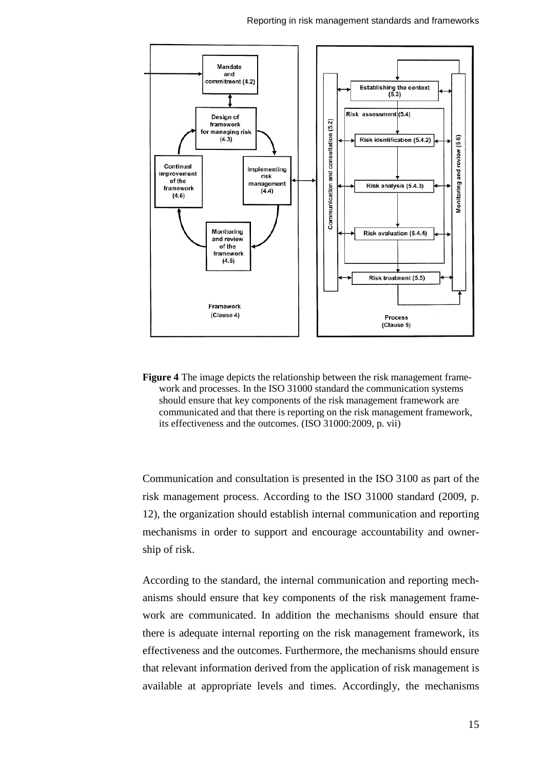

**Figure 4** The image depicts the relationship between the risk management framework and processes. In the ISO 31000 standard the communication systems should ensure that key components of the risk management framework are communicated and that there is reporting on the risk management framework, its effectiveness and the outcomes. (ISO 31000:2009, p. vii)

Communication and consultation is presented in the ISO 3100 as part of the risk management process. According to the ISO 31000 standard (2009, p. 12), the organization should establish internal communication and reporting mechanisms in order to support and encourage accountability and ownership of risk.

According to the standard, the internal communication and reporting mechanisms should ensure that key components of the risk management framework are communicated. In addition the mechanisms should ensure that there is adequate internal reporting on the risk management framework, its effectiveness and the outcomes. Furthermore, the mechanisms should ensure that relevant information derived from the application of risk management is available at appropriate levels and times. Accordingly, the mechanisms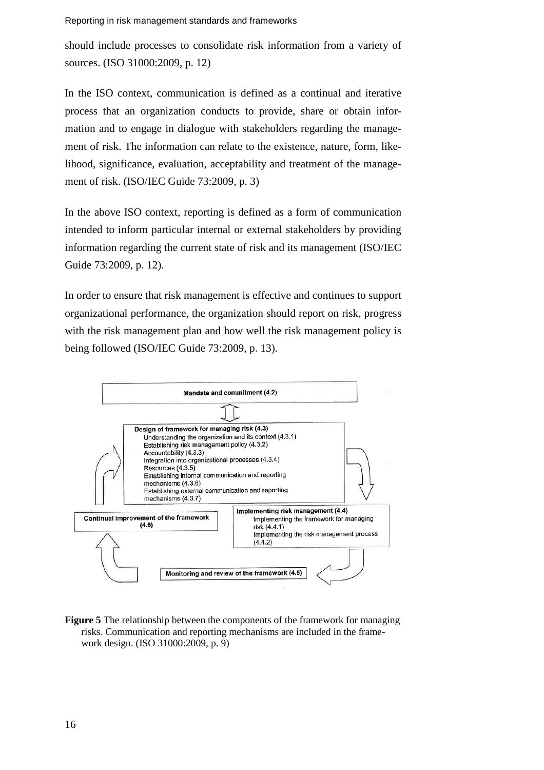Reporting in risk management standards and frameworks

should include processes to consolidate risk information from a variety of sources. (ISO 31000:2009, p. 12)

In the ISO context, communication is defined as a continual and iterative process that an organization conducts to provide, share or obtain information and to engage in dialogue with stakeholders regarding the management of risk. The information can relate to the existence, nature, form, likelihood, significance, evaluation, acceptability and treatment of the management of risk. (ISO/IEC Guide 73:2009, p. 3)

In the above ISO context, reporting is defined as a form of communication intended to inform particular internal or external stakeholders by providing information regarding the current state of risk and its management (ISO/IEC Guide 73:2009, p. 12).

In order to ensure that risk management is effective and continues to support organizational performance, the organization should report on risk, progress with the risk management plan and how well the risk management policy is being followed (ISO/IEC Guide 73:2009, p. 13).



**Figure 5** The relationship between the components of the framework for managing risks. Communication and reporting mechanisms are included in the framework design. (ISO 31000:2009, p. 9)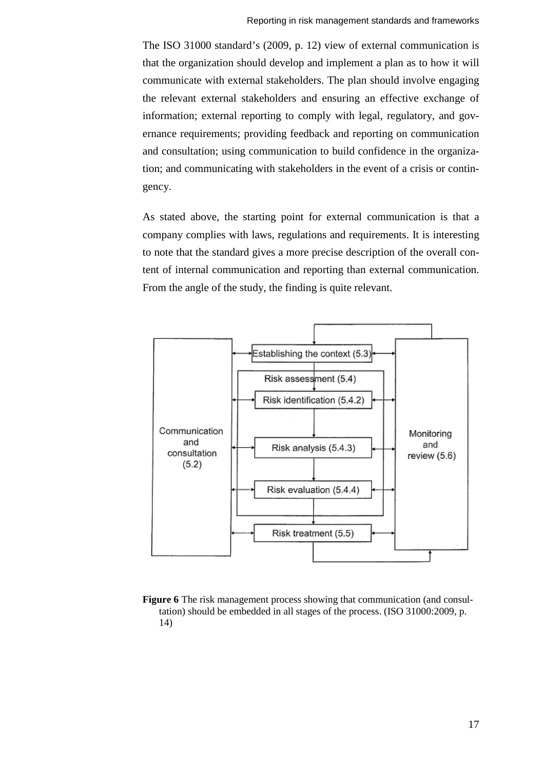The ISO 31000 standard's (2009, p. 12) view of external communication is that the organization should develop and implement a plan as to how it will communicate with external stakeholders. The plan should involve engaging the relevant external stakeholders and ensuring an effective exchange of information; external reporting to comply with legal, regulatory, and governance requirements; providing feedback and reporting on communication and consultation; using communication to build confidence in the organization; and communicating with stakeholders in the event of a crisis or contingency.

As stated above, the starting point for external communication is that a company complies with laws, regulations and requirements. It is interesting to note that the standard gives a more precise description of the overall content of internal communication and reporting than external communication. From the angle of the study, the finding is quite relevant.



**Figure 6** The risk management process showing that communication (and consultation) should be embedded in all stages of the process. (ISO 31000:2009, p. 14)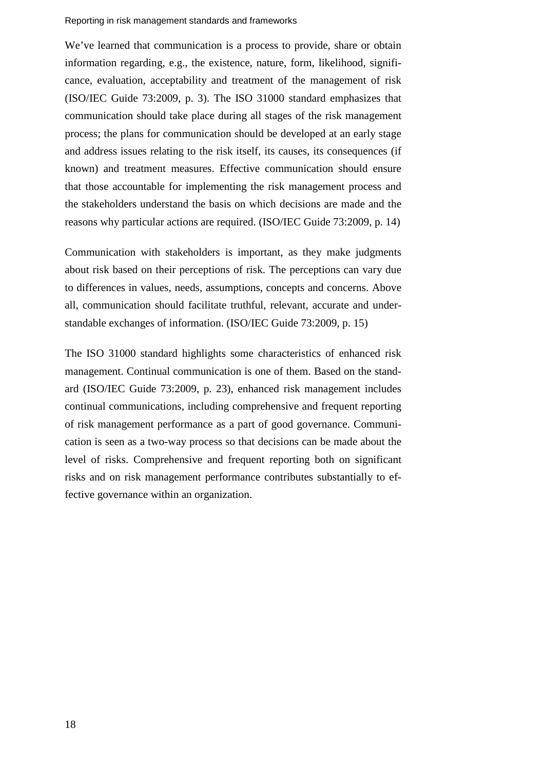#### Reporting in risk management standards and frameworks

We've learned that communication is a process to provide, share or obtain information regarding, e.g., the existence, nature, form, likelihood, significance, evaluation, acceptability and treatment of the management of risk (ISO/IEC Guide 73:2009, p. 3). The ISO 31000 standard emphasizes that communication should take place during all stages of the risk management process; the plans for communication should be developed at an early stage and address issues relating to the risk itself, its causes, its consequences (if known) and treatment measures. Effective communication should ensure that those accountable for implementing the risk management process and the stakeholders understand the basis on which decisions are made and the reasons why particular actions are required. (ISO/IEC Guide 73:2009, p. 14)

Communication with stakeholders is important, as they make judgments about risk based on their perceptions of risk. The perceptions can vary due to differences in values, needs, assumptions, concepts and concerns. Above all, communication should facilitate truthful, relevant, accurate and understandable exchanges of information. (ISO/IEC Guide 73:2009, p. 15)

The ISO 31000 standard highlights some characteristics of enhanced risk management. Continual communication is one of them. Based on the standard (ISO/IEC Guide 73:2009, p. 23), enhanced risk management includes continual communications, including comprehensive and frequent reporting of risk management performance as a part of good governance. Communication is seen as a two-way process so that decisions can be made about the level of risks. Comprehensive and frequent reporting both on significant risks and on risk management performance contributes substantially to effective governance within an organization.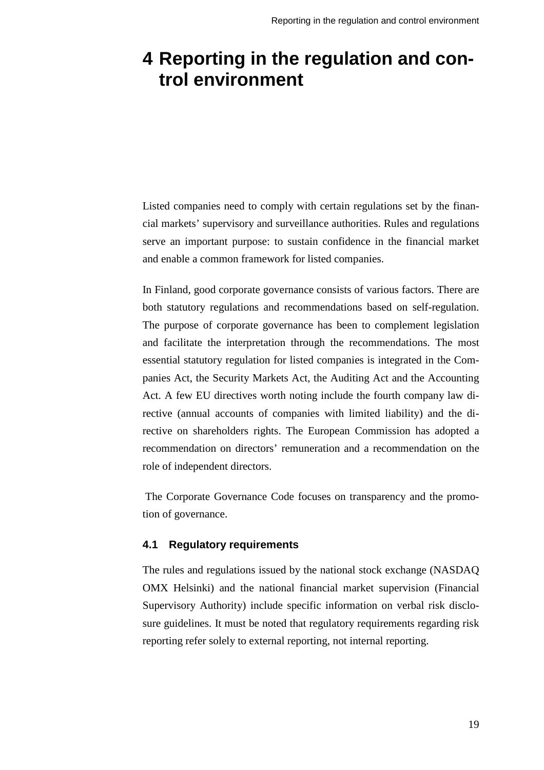## <span id="page-24-0"></span>**4 Reporting in the regulation and control environment**

Listed companies need to comply with certain regulations set by the financial markets' supervisory and surveillance authorities. Rules and regulations serve an important purpose: to sustain confidence in the financial market and enable a common framework for listed companies.

In Finland, good corporate governance consists of various factors. There are both statutory regulations and recommendations based on self-regulation. The purpose of corporate governance has been to complement legislation and facilitate the interpretation through the recommendations. The most essential statutory regulation for listed companies is integrated in the Companies Act, the Security Markets Act, the Auditing Act and the Accounting Act. A few EU directives worth noting include the fourth company law directive (annual accounts of companies with limited liability) and the directive on shareholders rights. The European Commission has adopted a recommendation on directors' remuneration and a recommendation on the role of independent directors.

The Corporate Governance Code focuses on transparency and the promotion of governance.

### <span id="page-24-1"></span>**4.1 Regulatory requirements**

The rules and regulations issued by the national stock exchange (NASDAQ OMX Helsinki) and the national financial market supervision (Financial Supervisory Authority) include specific information on verbal risk disclosure guidelines. It must be noted that regulatory requirements regarding risk reporting refer solely to external reporting, not internal reporting.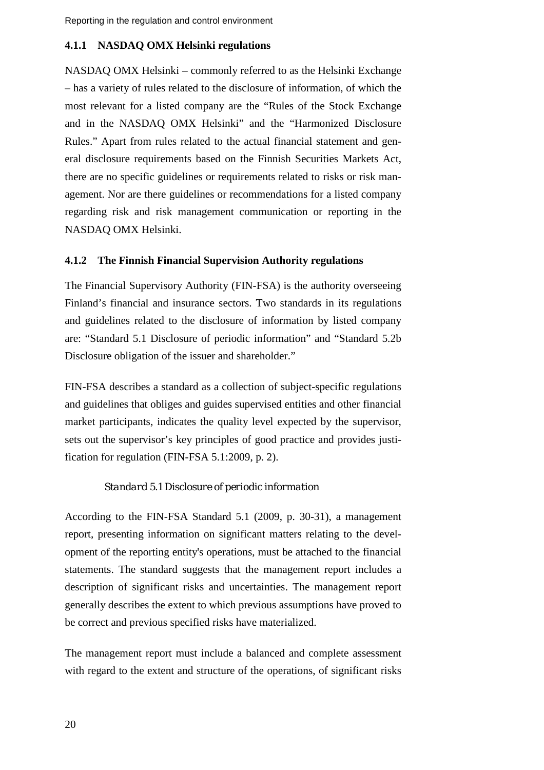## <span id="page-25-0"></span>**4.1.1 NASDAQ OMX Helsinki regulations**

NASDAQ OMX Helsinki – commonly referred to as the Helsinki Exchange – has a variety of rules related to the disclosure of information, of which the most relevant for a listed company are the "Rules of the Stock Exchange and in the NASDAQ OMX Helsinki" and the "Harmonized Disclosure Rules." Apart from rules related to the actual financial statement and general disclosure requirements based on the Finnish Securities Markets Act, there are no specific guidelines or requirements related to risks or risk management. Nor are there guidelines or recommendations for a listed company regarding risk and risk management communication or reporting in the NASDAQ OMX Helsinki.

### <span id="page-25-1"></span>**4.1.2 The Finnish Financial Supervision Authority regulations**

The Financial Supervisory Authority (FIN-FSA) is the authority overseeing Finland's financial and insurance sectors. Two standards in its regulations and guidelines related to the disclosure of information by listed company are: "Standard 5.1 Disclosure of periodic information" and "Standard 5.2b Disclosure obligation of the issuer and shareholder."

FIN-FSA describes a standard as a collection of subject-specific regulations and guidelines that obliges and guides supervised entities and other financial market participants, indicates the quality level expected by the supervisor, sets out the supervisor's key principles of good practice and provides justification for regulation (FIN-FSA 5.1:2009, p. 2).

### *Standard 5.1 Disclosure of periodic information*

According to the FIN-FSA Standard 5.1 (2009, p. 30-31), a management report, presenting information on significant matters relating to the development of the reporting entity's operations, must be attached to the financial statements. The standard suggests that the management report includes a description of significant risks and uncertainties. The management report generally describes the extent to which previous assumptions have proved to be correct and previous specified risks have materialized.

The management report must include a balanced and complete assessment with regard to the extent and structure of the operations, of significant risks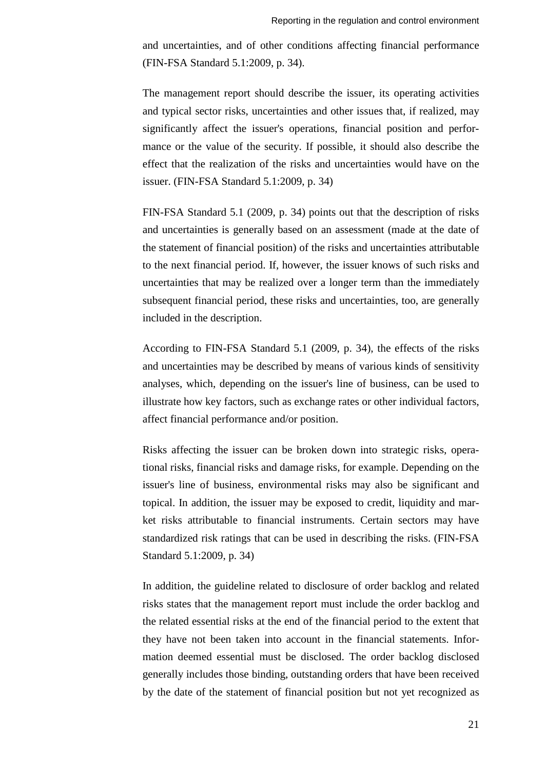and uncertainties, and of other conditions affecting financial performance (FIN-FSA Standard 5.1:2009, p. 34).

The management report should describe the issuer, its operating activities and typical sector risks, uncertainties and other issues that, if realized, may significantly affect the issuer's operations, financial position and performance or the value of the security. If possible, it should also describe the effect that the realization of the risks and uncertainties would have on the issuer. (FIN-FSA Standard 5.1:2009, p. 34)

FIN-FSA Standard 5.1 (2009, p. 34) points out that the description of risks and uncertainties is generally based on an assessment (made at the date of the statement of financial position) of the risks and uncertainties attributable to the next financial period. If, however, the issuer knows of such risks and uncertainties that may be realized over a longer term than the immediately subsequent financial period, these risks and uncertainties, too, are generally included in the description.

According to FIN-FSA Standard 5.1 (2009, p. 34), the effects of the risks and uncertainties may be described by means of various kinds of sensitivity analyses, which, depending on the issuer's line of business, can be used to illustrate how key factors, such as exchange rates or other individual factors, affect financial performance and/or position.

Risks affecting the issuer can be broken down into strategic risks, operational risks, financial risks and damage risks, for example. Depending on the issuer's line of business, environmental risks may also be significant and topical. In addition, the issuer may be exposed to credit, liquidity and market risks attributable to financial instruments. Certain sectors may have standardized risk ratings that can be used in describing the risks. (FIN-FSA Standard 5.1:2009, p. 34)

In addition, the guideline related to disclosure of order backlog and related risks states that the management report must include the order backlog and the related essential risks at the end of the financial period to the extent that they have not been taken into account in the financial statements. Information deemed essential must be disclosed. The order backlog disclosed generally includes those binding, outstanding orders that have been received by the date of the statement of financial position but not yet recognized as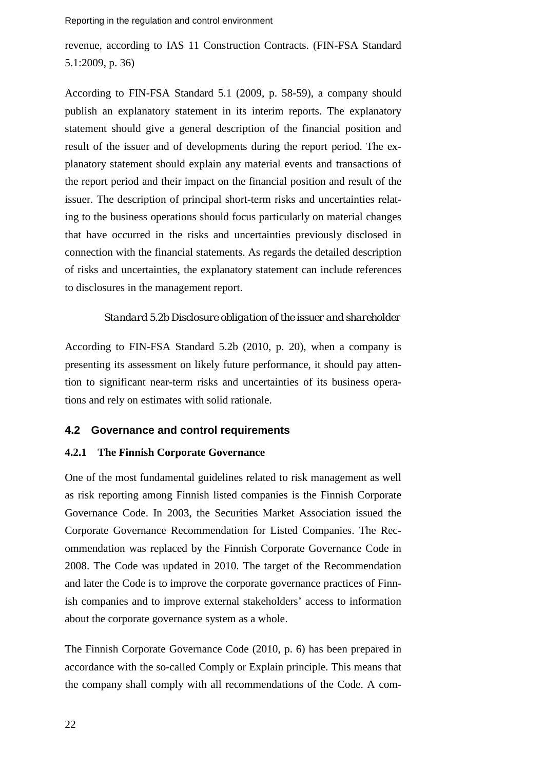revenue, according to IAS 11 Construction Contracts. (FIN-FSA Standard 5.1:2009, p. 36)

According to FIN-FSA Standard 5.1 (2009, p. 58-59), a company should publish an explanatory statement in its interim reports. The explanatory statement should give a general description of the financial position and result of the issuer and of developments during the report period. The explanatory statement should explain any material events and transactions of the report period and their impact on the financial position and result of the issuer. The description of principal short-term risks and uncertainties relating to the business operations should focus particularly on material changes that have occurred in the risks and uncertainties previously disclosed in connection with the financial statements. As regards the detailed description of risks and uncertainties, the explanatory statement can include references to disclosures in the management report.

#### *Standard 5.2b Disclosure obligation of the issuer and shareholder*

According to FIN-FSA Standard 5.2b (2010, p. 20), when a company is presenting its assessment on likely future performance, it should pay attention to significant near-term risks and uncertainties of its business operations and rely on estimates with solid rationale.

#### <span id="page-27-0"></span>**4.2 Governance and control requirements**

#### <span id="page-27-1"></span>**4.2.1 The Finnish Corporate Governance**

One of the most fundamental guidelines related to risk management as well as risk reporting among Finnish listed companies is the Finnish Corporate Governance Code. In 2003, the Securities Market Association issued the Corporate Governance Recommendation for Listed Companies. The Recommendation was replaced by the Finnish Corporate Governance Code in 2008. The Code was updated in 2010. The target of the Recommendation and later the Code is to improve the corporate governance practices of Finnish companies and to improve external stakeholders' access to information about the corporate governance system as a whole.

The Finnish Corporate Governance Code (2010, p. 6) has been prepared in accordance with the so-called Comply or Explain principle. This means that the company shall comply with all recommendations of the Code. A com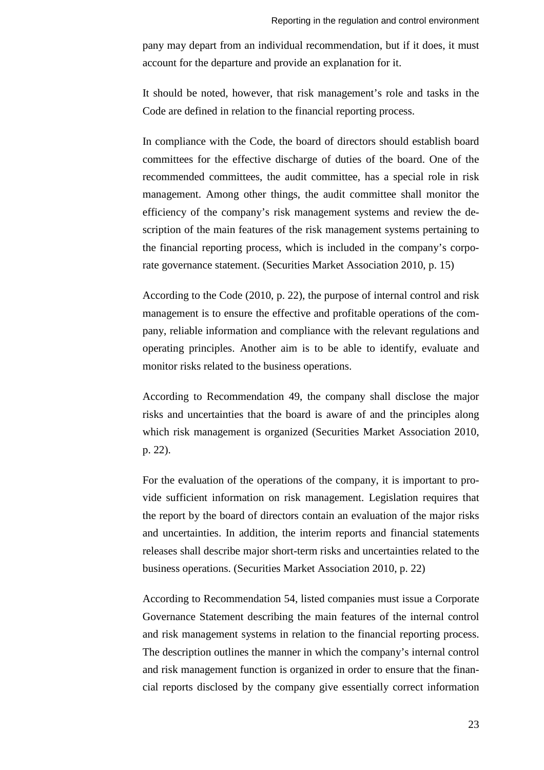pany may depart from an individual recommendation, but if it does, it must account for the departure and provide an explanation for it.

It should be noted, however, that risk management's role and tasks in the Code are defined in relation to the financial reporting process.

In compliance with the Code, the board of directors should establish board committees for the effective discharge of duties of the board. One of the recommended committees, the audit committee, has a special role in risk management. Among other things, the audit committee shall monitor the efficiency of the company's risk management systems and review the description of the main features of the risk management systems pertaining to the financial reporting process, which is included in the company's corporate governance statement. (Securities Market Association 2010, p. 15)

According to the Code (2010, p. 22), the purpose of internal control and risk management is to ensure the effective and profitable operations of the company, reliable information and compliance with the relevant regulations and operating principles. Another aim is to be able to identify, evaluate and monitor risks related to the business operations.

According to Recommendation 49, the company shall disclose the major risks and uncertainties that the board is aware of and the principles along which risk management is organized (Securities Market Association 2010, p. 22).

For the evaluation of the operations of the company, it is important to provide sufficient information on risk management. Legislation requires that the report by the board of directors contain an evaluation of the major risks and uncertainties. In addition, the interim reports and financial statements releases shall describe major short-term risks and uncertainties related to the business operations. (Securities Market Association 2010, p. 22)

According to Recommendation 54, listed companies must issue a Corporate Governance Statement describing the main features of the internal control and risk management systems in relation to the financial reporting process. The description outlines the manner in which the company's internal control and risk management function is organized in order to ensure that the financial reports disclosed by the company give essentially correct information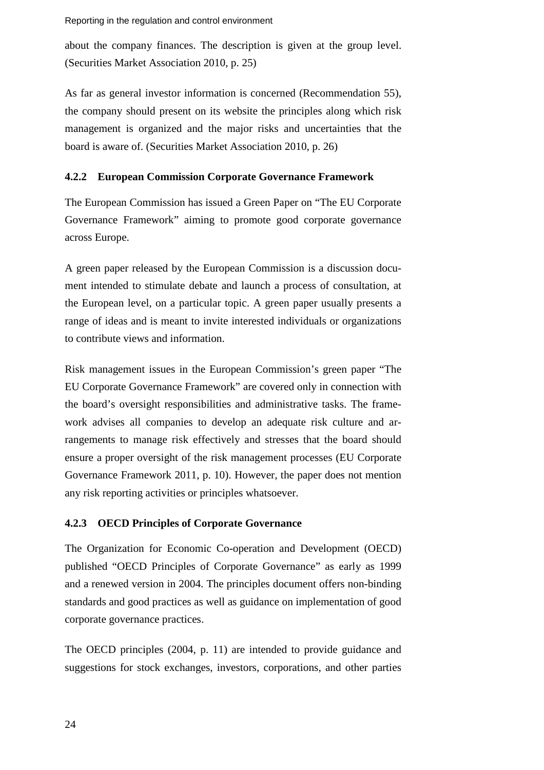Reporting in the regulation and control environment

about the company finances. The description is given at the group level. (Securities Market Association 2010, p. 25)

As far as general investor information is concerned (Recommendation 55), the company should present on its website the principles along which risk management is organized and the major risks and uncertainties that the board is aware of. (Securities Market Association 2010, p. 26)

### <span id="page-29-0"></span>**4.2.2 European Commission Corporate Governance Framework**

The European Commission has issued a Green Paper on "The EU Corporate Governance Framework" aiming to promote good corporate governance across Europe.

A green paper released by the European Commission is a discussion document intended to stimulate debate and launch a process of consultation, at the European level, on a particular topic. A green paper usually presents a range of ideas and is meant to invite interested individuals or organizations to contribute views and information.

Risk management issues in the European Commission's green paper "The EU Corporate Governance Framework" are covered only in connection with the board's oversight responsibilities and administrative tasks. The framework advises all companies to develop an adequate risk culture and arrangements to manage risk effectively and stresses that the board should ensure a proper oversight of the risk management processes (EU Corporate Governance Framework 2011, p. 10). However, the paper does not mention any risk reporting activities or principles whatsoever.

### <span id="page-29-1"></span>**4.2.3 OECD Principles of Corporate Governance**

The Organization for Economic Co-operation and Development (OECD) published "OECD Principles of Corporate Governance" as early as 1999 and a renewed version in 2004. The principles document offers non-binding standards and good practices as well as guidance on implementation of good corporate governance practices.

The OECD principles (2004, p. 11) are intended to provide guidance and suggestions for stock exchanges, investors, corporations, and other parties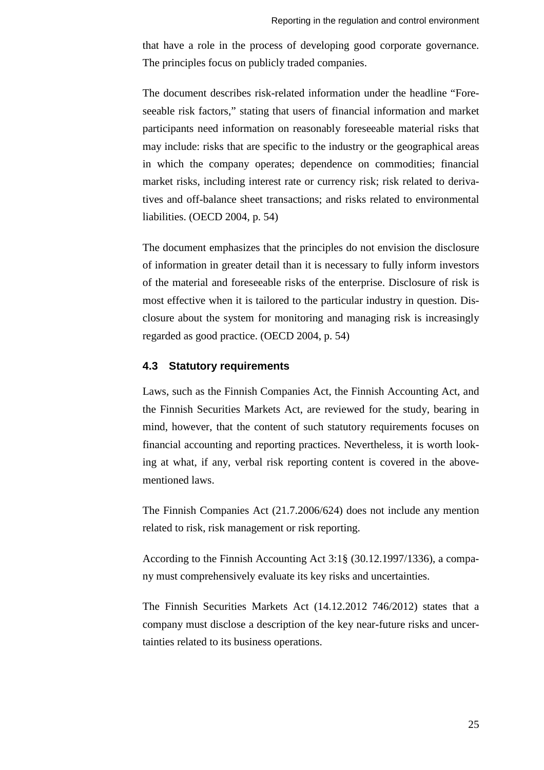that have a role in the process of developing good corporate governance. The principles focus on publicly traded companies.

The document describes risk-related information under the headline "Foreseeable risk factors," stating that users of financial information and market participants need information on reasonably foreseeable material risks that may include: risks that are specific to the industry or the geographical areas in which the company operates; dependence on commodities; financial market risks, including interest rate or currency risk; risk related to derivatives and off-balance sheet transactions; and risks related to environmental liabilities. (OECD 2004, p. 54)

The document emphasizes that the principles do not envision the disclosure of information in greater detail than it is necessary to fully inform investors of the material and foreseeable risks of the enterprise. Disclosure of risk is most effective when it is tailored to the particular industry in question. Disclosure about the system for monitoring and managing risk is increasingly regarded as good practice. (OECD 2004, p. 54)

#### <span id="page-30-0"></span>**4.3 Statutory requirements**

Laws, such as the Finnish Companies Act, the Finnish Accounting Act, and the Finnish Securities Markets Act, are reviewed for the study, bearing in mind, however, that the content of such statutory requirements focuses on financial accounting and reporting practices. Nevertheless, it is worth looking at what, if any, verbal risk reporting content is covered in the abovementioned laws.

The Finnish Companies Act (21.7.2006/624) does not include any mention related to risk, risk management or risk reporting.

According to the Finnish Accounting Act 3:1§ (30.12.1997/1336), a company must comprehensively evaluate its key risks and uncertainties.

The Finnish Securities Markets Act (14.12.2012 746/2012) states that a company must disclose a description of the key near-future risks and uncertainties related to its business operations.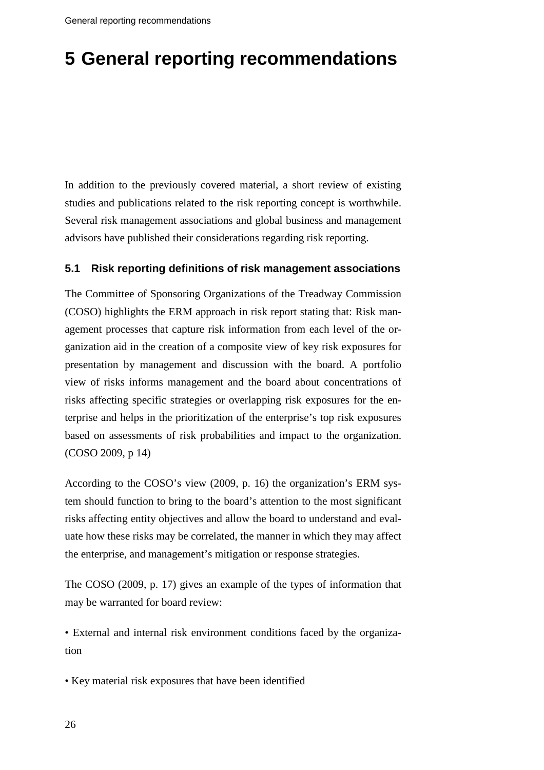# <span id="page-31-0"></span>**5 General reporting recommendations**

In addition to the previously covered material, a short review of existing studies and publications related to the risk reporting concept is worthwhile. Several risk management associations and global business and management advisors have published their considerations regarding risk reporting.

## <span id="page-31-1"></span>**5.1 Risk reporting definitions of risk management associations**

The Committee of Sponsoring Organizations of the Treadway Commission (COSO) highlights the ERM approach in risk report stating that: Risk management processes that capture risk information from each level of the organization aid in the creation of a composite view of key risk exposures for presentation by management and discussion with the board. A portfolio view of risks informs management and the board about concentrations of risks affecting specific strategies or overlapping risk exposures for the enterprise and helps in the prioritization of the enterprise's top risk exposures based on assessments of risk probabilities and impact to the organization. (COSO 2009, p 14)

According to the COSO's view (2009, p. 16) the organization's ERM system should function to bring to the board's attention to the most significant risks affecting entity objectives and allow the board to understand and evaluate how these risks may be correlated, the manner in which they may affect the enterprise, and management's mitigation or response strategies.

The COSO (2009, p. 17) gives an example of the types of information that may be warranted for board review:

• External and internal risk environment conditions faced by the organization

• Key material risk exposures that have been identified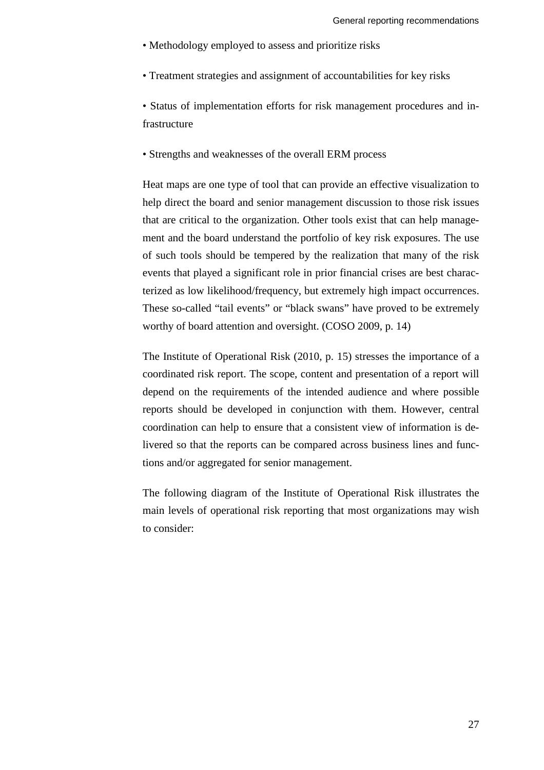- Methodology employed to assess and prioritize risks
- Treatment strategies and assignment of accountabilities for key risks

• Status of implementation efforts for risk management procedures and infrastructure

• Strengths and weaknesses of the overall ERM process

Heat maps are one type of tool that can provide an effective visualization to help direct the board and senior management discussion to those risk issues that are critical to the organization. Other tools exist that can help management and the board understand the portfolio of key risk exposures. The use of such tools should be tempered by the realization that many of the risk events that played a significant role in prior financial crises are best characterized as low likelihood/frequency, but extremely high impact occurrences. These so-called "tail events" or "black swans" have proved to be extremely worthy of board attention and oversight. (COSO 2009, p. 14)

The Institute of Operational Risk (2010, p. 15) stresses the importance of a coordinated risk report. The scope, content and presentation of a report will depend on the requirements of the intended audience and where possible reports should be developed in conjunction with them. However, central coordination can help to ensure that a consistent view of information is delivered so that the reports can be compared across business lines and functions and/or aggregated for senior management.

The following diagram of the Institute of Operational Risk illustrates the main levels of operational risk reporting that most organizations may wish to consider: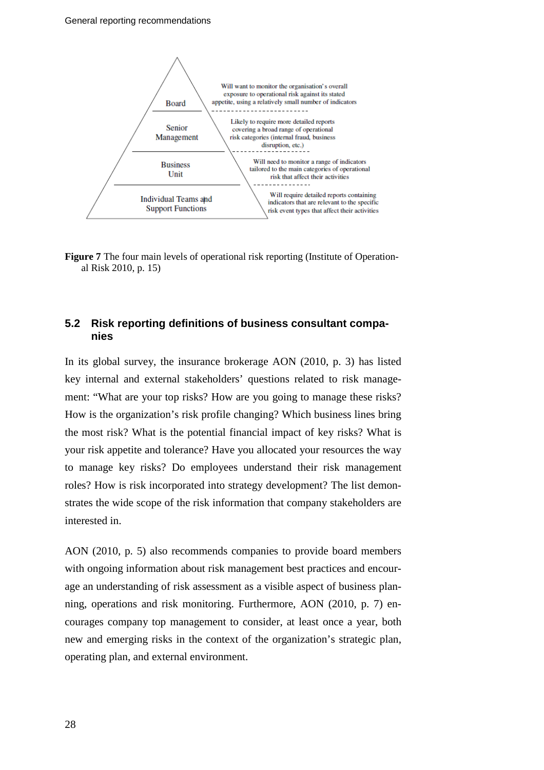

**Figure 7** The four main levels of operational risk reporting (Institute of Operational Risk 2010, p. 15)

## <span id="page-33-0"></span>**5.2 Risk reporting definitions of business consultant companies**

In its global survey, the insurance brokerage AON (2010, p. 3) has listed key internal and external stakeholders' questions related to risk management: "What are your top risks? How are you going to manage these risks? How is the organization's risk profile changing? Which business lines bring the most risk? What is the potential financial impact of key risks? What is your risk appetite and tolerance? Have you allocated your resources the way to manage key risks? Do employees understand their risk management roles? How is risk incorporated into strategy development? The list demonstrates the wide scope of the risk information that company stakeholders are interested in.

AON (2010, p. 5) also recommends companies to provide board members with ongoing information about risk management best practices and encourage an understanding of risk assessment as a visible aspect of business planning, operations and risk monitoring. Furthermore, AON (2010, p. 7) encourages company top management to consider, at least once a year, both new and emerging risks in the context of the organization's strategic plan, operating plan, and external environment.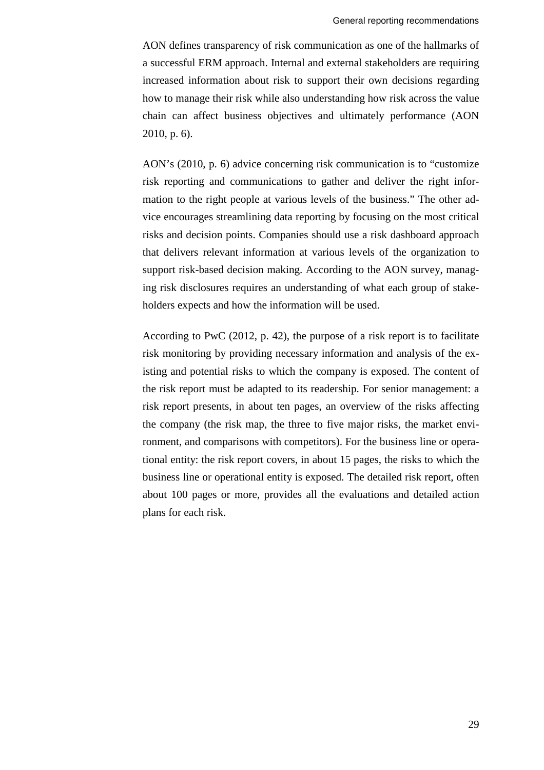AON defines transparency of risk communication as one of the hallmarks of a successful ERM approach. Internal and external stakeholders are requiring increased information about risk to support their own decisions regarding how to manage their risk while also understanding how risk across the value chain can affect business objectives and ultimately performance (AON 2010, p. 6).

AON's (2010, p. 6) advice concerning risk communication is to "customize risk reporting and communications to gather and deliver the right information to the right people at various levels of the business." The other advice encourages streamlining data reporting by focusing on the most critical risks and decision points. Companies should use a risk dashboard approach that delivers relevant information at various levels of the organization to support risk-based decision making. According to the AON survey, managing risk disclosures requires an understanding of what each group of stakeholders expects and how the information will be used.

According to PwC (2012, p. 42), the purpose of a risk report is to facilitate risk monitoring by providing necessary information and analysis of the existing and potential risks to which the company is exposed. The content of the risk report must be adapted to its readership. For senior management: a risk report presents, in about ten pages, an overview of the risks affecting the company (the risk map, the three to five major risks, the market environment, and comparisons with competitors). For the business line or operational entity: the risk report covers, in about 15 pages, the risks to which the business line or operational entity is exposed. The detailed risk report, often about 100 pages or more, provides all the evaluations and detailed action plans for each risk.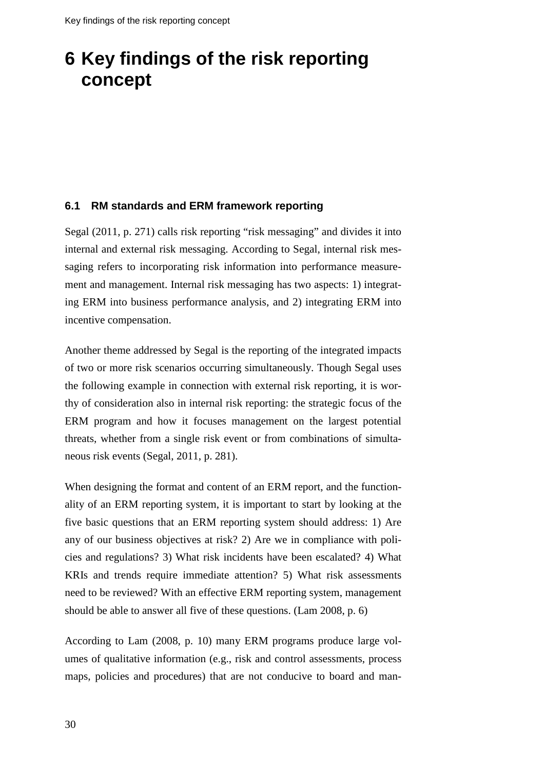# <span id="page-35-0"></span>**6 Key findings of the risk reporting concept**

### <span id="page-35-1"></span>**6.1 RM standards and ERM framework reporting**

Segal (2011, p. 271) calls risk reporting "risk messaging" and divides it into internal and external risk messaging. According to Segal, internal risk messaging refers to incorporating risk information into performance measurement and management. Internal risk messaging has two aspects: 1) integrating ERM into business performance analysis, and 2) integrating ERM into incentive compensation.

Another theme addressed by Segal is the reporting of the integrated impacts of two or more risk scenarios occurring simultaneously. Though Segal uses the following example in connection with external risk reporting, it is worthy of consideration also in internal risk reporting: the strategic focus of the ERM program and how it focuses management on the largest potential threats, whether from a single risk event or from combinations of simultaneous risk events (Segal, 2011, p. 281).

When designing the format and content of an ERM report, and the functionality of an ERM reporting system, it is important to start by looking at the five basic questions that an ERM reporting system should address: 1) Are any of our business objectives at risk? 2) Are we in compliance with policies and regulations? 3) What risk incidents have been escalated? 4) What KRIs and trends require immediate attention? 5) What risk assessments need to be reviewed? With an effective ERM reporting system, management should be able to answer all five of these questions. (Lam 2008, p. 6)

According to Lam (2008, p. 10) many ERM programs produce large volumes of qualitative information (e.g., risk and control assessments, process maps, policies and procedures) that are not conducive to board and man-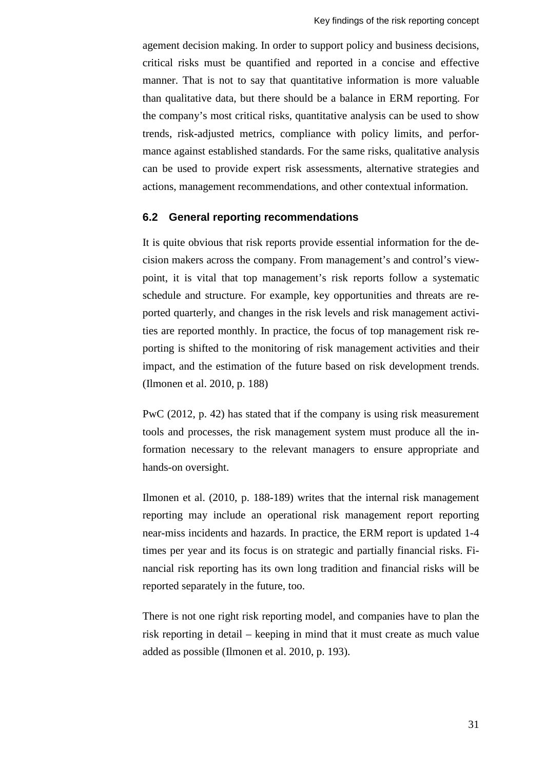agement decision making. In order to support policy and business decisions, critical risks must be quantified and reported in a concise and effective manner. That is not to say that quantitative information is more valuable than qualitative data, but there should be a balance in ERM reporting. For the company's most critical risks, quantitative analysis can be used to show trends, risk-adjusted metrics, compliance with policy limits, and performance against established standards. For the same risks, qualitative analysis can be used to provide expert risk assessments, alternative strategies and actions, management recommendations, and other contextual information.

#### <span id="page-36-0"></span>**6.2 General reporting recommendations**

It is quite obvious that risk reports provide essential information for the decision makers across the company. From management's and control's viewpoint, it is vital that top management's risk reports follow a systematic schedule and structure. For example, key opportunities and threats are reported quarterly, and changes in the risk levels and risk management activities are reported monthly. In practice, the focus of top management risk reporting is shifted to the monitoring of risk management activities and their impact, and the estimation of the future based on risk development trends. (Ilmonen et al. 2010, p. 188)

PwC (2012, p. 42) has stated that if the company is using risk measurement tools and processes, the risk management system must produce all the information necessary to the relevant managers to ensure appropriate and hands-on oversight.

Ilmonen et al. (2010, p. 188-189) writes that the internal risk management reporting may include an operational risk management report reporting near-miss incidents and hazards. In practice, the ERM report is updated 1-4 times per year and its focus is on strategic and partially financial risks. Financial risk reporting has its own long tradition and financial risks will be reported separately in the future, too.

There is not one right risk reporting model, and companies have to plan the risk reporting in detail – keeping in mind that it must create as much value added as possible (Ilmonen et al. 2010, p. 193).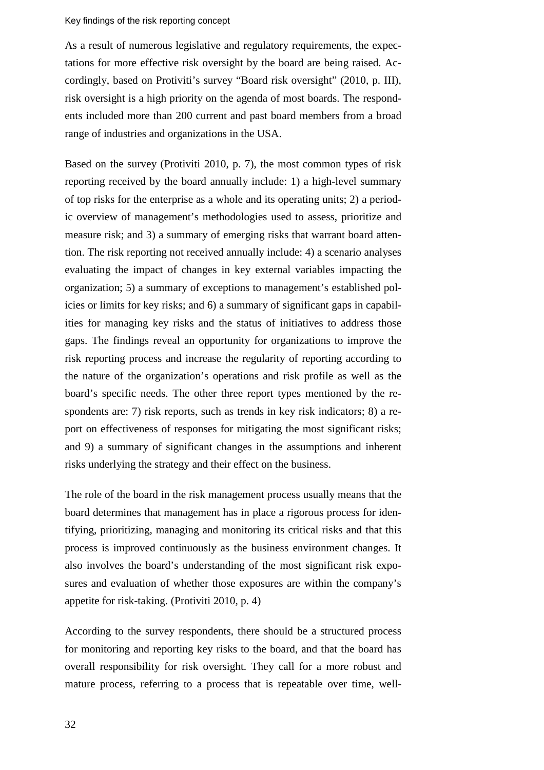#### Key findings of the risk reporting concept

As a result of numerous legislative and regulatory requirements, the expectations for more effective risk oversight by the board are being raised. Accordingly, based on Protiviti's survey "Board risk oversight" (2010, p. III), risk oversight is a high priority on the agenda of most boards. The respondents included more than 200 current and past board members from a broad range of industries and organizations in the USA.

Based on the survey (Protiviti 2010, p. 7), the most common types of risk reporting received by the board annually include: 1) a high-level summary of top risks for the enterprise as a whole and its operating units; 2) a periodic overview of management's methodologies used to assess, prioritize and measure risk; and 3) a summary of emerging risks that warrant board attention. The risk reporting not received annually include: 4) a scenario analyses evaluating the impact of changes in key external variables impacting the organization; 5) a summary of exceptions to management's established policies or limits for key risks; and 6) a summary of significant gaps in capabilities for managing key risks and the status of initiatives to address those gaps. The findings reveal an opportunity for organizations to improve the risk reporting process and increase the regularity of reporting according to the nature of the organization's operations and risk profile as well as the board's specific needs. The other three report types mentioned by the respondents are: 7) risk reports, such as trends in key risk indicators; 8) a report on effectiveness of responses for mitigating the most significant risks; and 9) a summary of significant changes in the assumptions and inherent risks underlying the strategy and their effect on the business.

The role of the board in the risk management process usually means that the board determines that management has in place a rigorous process for identifying, prioritizing, managing and monitoring its critical risks and that this process is improved continuously as the business environment changes. It also involves the board's understanding of the most significant risk exposures and evaluation of whether those exposures are within the company's appetite for risk-taking. (Protiviti 2010, p. 4)

According to the survey respondents, there should be a structured process for monitoring and reporting key risks to the board, and that the board has overall responsibility for risk oversight. They call for a more robust and mature process, referring to a process that is repeatable over time, well-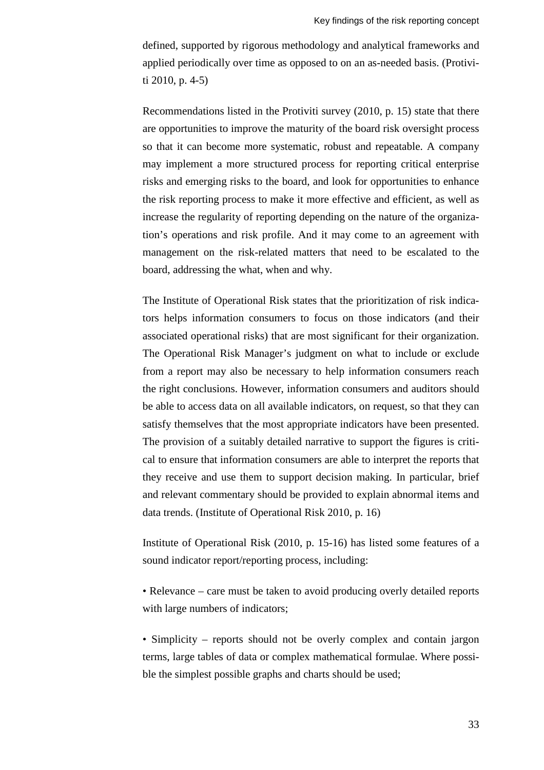defined, supported by rigorous methodology and analytical frameworks and applied periodically over time as opposed to on an as-needed basis. (Protiviti 2010, p. 4-5)

Recommendations listed in the Protiviti survey (2010, p. 15) state that there are opportunities to improve the maturity of the board risk oversight process so that it can become more systematic, robust and repeatable. A company may implement a more structured process for reporting critical enterprise risks and emerging risks to the board, and look for opportunities to enhance the risk reporting process to make it more effective and efficient, as well as increase the regularity of reporting depending on the nature of the organization's operations and risk profile. And it may come to an agreement with management on the risk-related matters that need to be escalated to the board, addressing the what, when and why.

The Institute of Operational Risk states that the prioritization of risk indicators helps information consumers to focus on those indicators (and their associated operational risks) that are most significant for their organization. The Operational Risk Manager's judgment on what to include or exclude from a report may also be necessary to help information consumers reach the right conclusions. However, information consumers and auditors should be able to access data on all available indicators, on request, so that they can satisfy themselves that the most appropriate indicators have been presented. The provision of a suitably detailed narrative to support the figures is critical to ensure that information consumers are able to interpret the reports that they receive and use them to support decision making. In particular, brief and relevant commentary should be provided to explain abnormal items and data trends. (Institute of Operational Risk 2010, p. 16)

Institute of Operational Risk (2010, p. 15-16) has listed some features of a sound indicator report/reporting process, including:

• Relevance – care must be taken to avoid producing overly detailed reports with large numbers of indicators;

• Simplicity – reports should not be overly complex and contain jargon terms, large tables of data or complex mathematical formulae. Where possible the simplest possible graphs and charts should be used;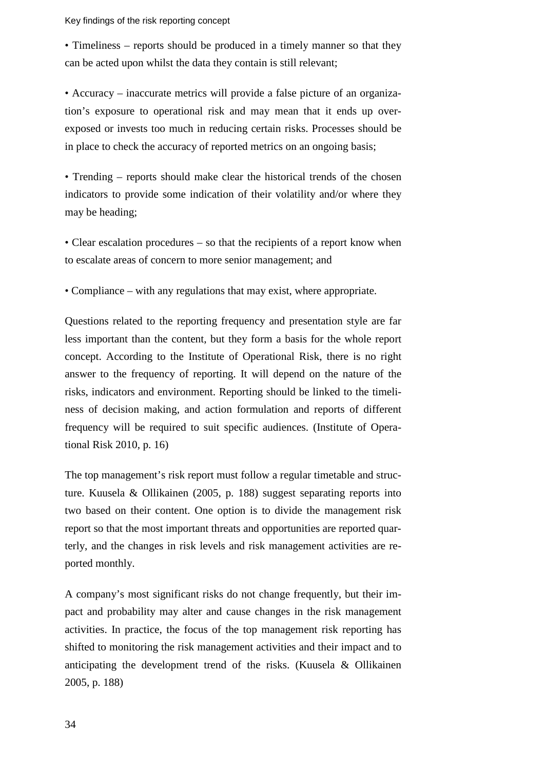Key findings of the risk reporting concept

• Timeliness – reports should be produced in a timely manner so that they can be acted upon whilst the data they contain is still relevant;

• Accuracy – inaccurate metrics will provide a false picture of an organization's exposure to operational risk and may mean that it ends up overexposed or invests too much in reducing certain risks. Processes should be in place to check the accuracy of reported metrics on an ongoing basis;

• Trending – reports should make clear the historical trends of the chosen indicators to provide some indication of their volatility and/or where they may be heading;

• Clear escalation procedures – so that the recipients of a report know when to escalate areas of concern to more senior management; and

• Compliance – with any regulations that may exist, where appropriate.

Questions related to the reporting frequency and presentation style are far less important than the content, but they form a basis for the whole report concept. According to the Institute of Operational Risk, there is no right answer to the frequency of reporting. It will depend on the nature of the risks, indicators and environment. Reporting should be linked to the timeliness of decision making, and action formulation and reports of different frequency will be required to suit specific audiences. (Institute of Operational Risk 2010, p. 16)

The top management's risk report must follow a regular timetable and structure. Kuusela & Ollikainen (2005, p. 188) suggest separating reports into two based on their content. One option is to divide the management risk report so that the most important threats and opportunities are reported quarterly, and the changes in risk levels and risk management activities are reported monthly.

A company's most significant risks do not change frequently, but their impact and probability may alter and cause changes in the risk management activities. In practice, the focus of the top management risk reporting has shifted to monitoring the risk management activities and their impact and to anticipating the development trend of the risks. (Kuusela & Ollikainen 2005, p. 188)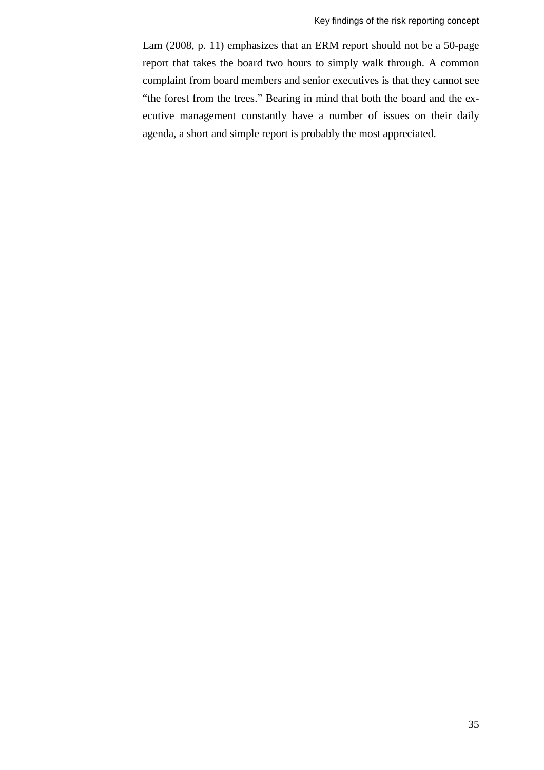Lam (2008, p. 11) emphasizes that an ERM report should not be a 50-page report that takes the board two hours to simply walk through. A common complaint from board members and senior executives is that they cannot see "the forest from the trees." Bearing in mind that both the board and the executive management constantly have a number of issues on their daily agenda, a short and simple report is probably the most appreciated.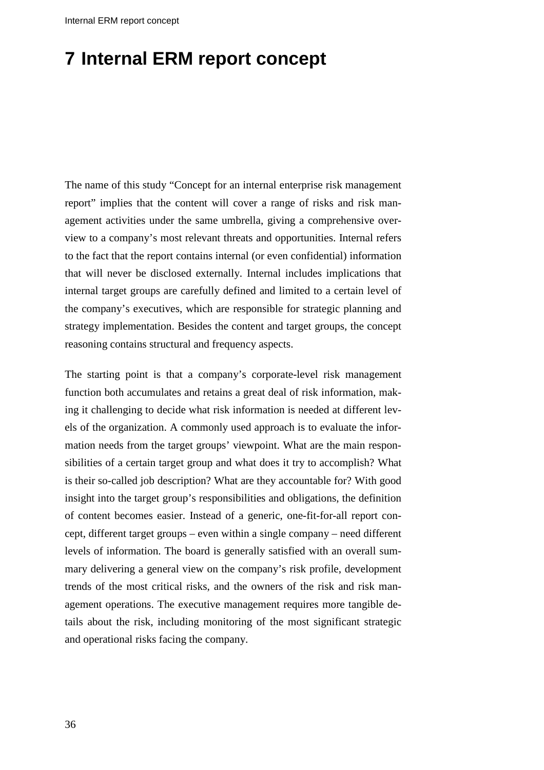# <span id="page-41-0"></span>**7 Internal ERM report concept**

The name of this study "Concept for an internal enterprise risk management report" implies that the content will cover a range of risks and risk management activities under the same umbrella, giving a comprehensive overview to a company's most relevant threats and opportunities. Internal refers to the fact that the report contains internal (or even confidential) information that will never be disclosed externally. Internal includes implications that internal target groups are carefully defined and limited to a certain level of the company's executives, which are responsible for strategic planning and strategy implementation. Besides the content and target groups, the concept reasoning contains structural and frequency aspects.

The starting point is that a company's corporate-level risk management function both accumulates and retains a great deal of risk information, making it challenging to decide what risk information is needed at different levels of the organization. A commonly used approach is to evaluate the information needs from the target groups' viewpoint. What are the main responsibilities of a certain target group and what does it try to accomplish? What is their so-called job description? What are they accountable for? With good insight into the target group's responsibilities and obligations, the definition of content becomes easier. Instead of a generic, one-fit-for-all report concept, different target groups – even within a single company – need different levels of information. The board is generally satisfied with an overall summary delivering a general view on the company's risk profile, development trends of the most critical risks, and the owners of the risk and risk management operations. The executive management requires more tangible details about the risk, including monitoring of the most significant strategic and operational risks facing the company.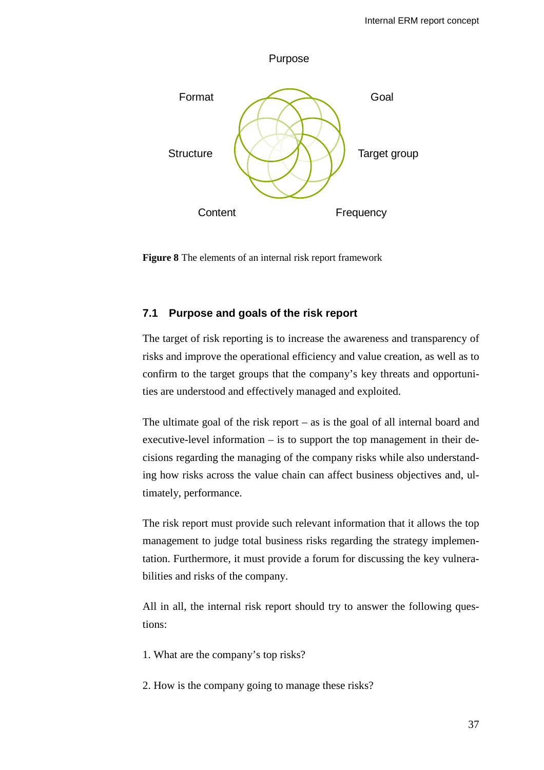

**Figure 8** The elements of an internal risk report framework

## <span id="page-42-0"></span>**7.1 Purpose and goals of the risk report**

The target of risk reporting is to increase the awareness and transparency of risks and improve the operational efficiency and value creation, as well as to confirm to the target groups that the company's key threats and opportunities are understood and effectively managed and exploited.

The ultimate goal of the risk report – as is the goal of all internal board and executive-level information – is to support the top management in their decisions regarding the managing of the company risks while also understanding how risks across the value chain can affect business objectives and, ultimately, performance.

The risk report must provide such relevant information that it allows the top management to judge total business risks regarding the strategy implementation. Furthermore, it must provide a forum for discussing the key vulnerabilities and risks of the company.

All in all, the internal risk report should try to answer the following questions:

1. What are the company's top risks?

2. How is the company going to manage these risks?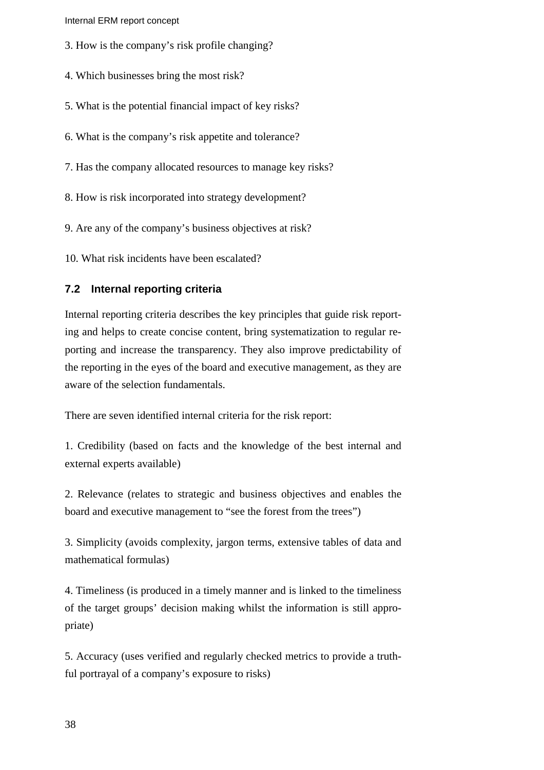Internal ERM report concept

- 3. How is the company's risk profile changing?
- 4. Which businesses bring the most risk?
- 5. What is the potential financial impact of key risks?
- 6. What is the company's risk appetite and tolerance?
- 7. Has the company allocated resources to manage key risks?
- 8. How is risk incorporated into strategy development?
- 9. Are any of the company's business objectives at risk?
- 10. What risk incidents have been escalated?

### <span id="page-43-0"></span>**7.2 Internal reporting criteria**

Internal reporting criteria describes the key principles that guide risk reporting and helps to create concise content, bring systematization to regular reporting and increase the transparency. They also improve predictability of the reporting in the eyes of the board and executive management, as they are aware of the selection fundamentals.

There are seven identified internal criteria for the risk report:

1. Credibility (based on facts and the knowledge of the best internal and external experts available)

2. Relevance (relates to strategic and business objectives and enables the board and executive management to "see the forest from the trees")

3. Simplicity (avoids complexity, jargon terms, extensive tables of data and mathematical formulas)

4. Timeliness (is produced in a timely manner and is linked to the timeliness of the target groups' decision making whilst the information is still appropriate)

5. Accuracy (uses verified and regularly checked metrics to provide a truthful portrayal of a company's exposure to risks)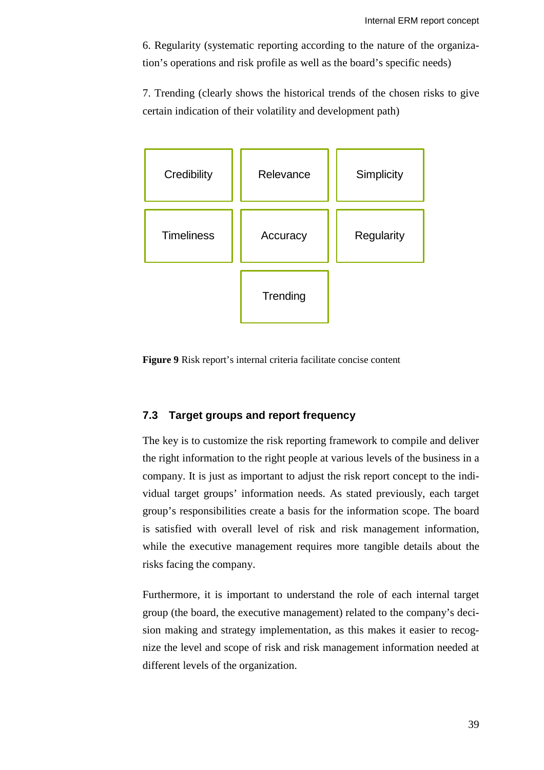6. Regularity (systematic reporting according to the nature of the organization's operations and risk profile as well as the board's specific needs)

7. Trending (clearly shows the historical trends of the chosen risks to give certain indication of their volatility and development path)



**Figure 9** Risk report's internal criteria facilitate concise content

## <span id="page-44-0"></span>**7.3 Target groups and report frequency**

The key is to customize the risk reporting framework to compile and deliver the right information to the right people at various levels of the business in a company. It is just as important to adjust the risk report concept to the individual target groups' information needs. As stated previously, each target group's responsibilities create a basis for the information scope. The board is satisfied with overall level of risk and risk management information, while the executive management requires more tangible details about the risks facing the company.

Furthermore, it is important to understand the role of each internal target group (the board, the executive management) related to the company's decision making and strategy implementation, as this makes it easier to recognize the level and scope of risk and risk management information needed at different levels of the organization.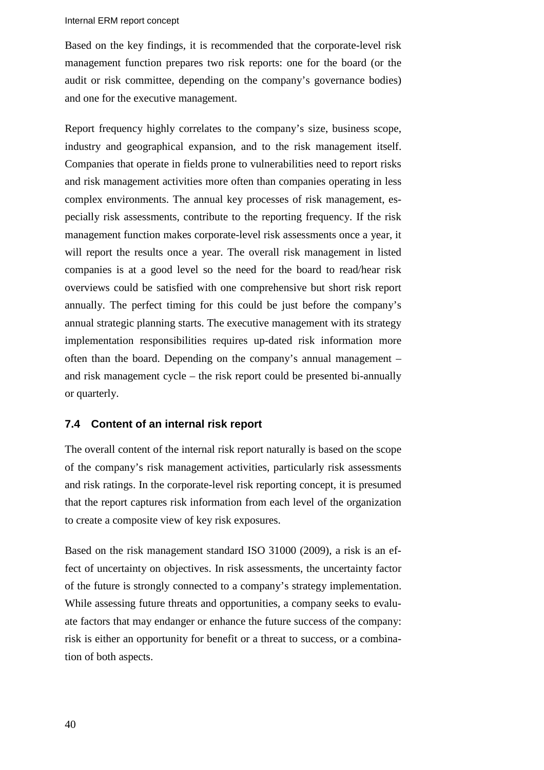#### Internal ERM report concept

Based on the key findings, it is recommended that the corporate-level risk management function prepares two risk reports: one for the board (or the audit or risk committee, depending on the company's governance bodies) and one for the executive management.

Report frequency highly correlates to the company's size, business scope, industry and geographical expansion, and to the risk management itself. Companies that operate in fields prone to vulnerabilities need to report risks and risk management activities more often than companies operating in less complex environments. The annual key processes of risk management, especially risk assessments, contribute to the reporting frequency. If the risk management function makes corporate-level risk assessments once a year, it will report the results once a year. The overall risk management in listed companies is at a good level so the need for the board to read/hear risk overviews could be satisfied with one comprehensive but short risk report annually. The perfect timing for this could be just before the company's annual strategic planning starts. The executive management with its strategy implementation responsibilities requires up-dated risk information more often than the board. Depending on the company's annual management – and risk management cycle – the risk report could be presented bi-annually or quarterly.

### <span id="page-45-0"></span>**7.4 Content of an internal risk report**

The overall content of the internal risk report naturally is based on the scope of the company's risk management activities, particularly risk assessments and risk ratings. In the corporate-level risk reporting concept, it is presumed that the report captures risk information from each level of the organization to create a composite view of key risk exposures.

Based on the risk management standard ISO 31000 (2009), a risk is an effect of uncertainty on objectives. In risk assessments, the uncertainty factor of the future is strongly connected to a company's strategy implementation. While assessing future threats and opportunities, a company seeks to evaluate factors that may endanger or enhance the future success of the company: risk is either an opportunity for benefit or a threat to success, or a combination of both aspects.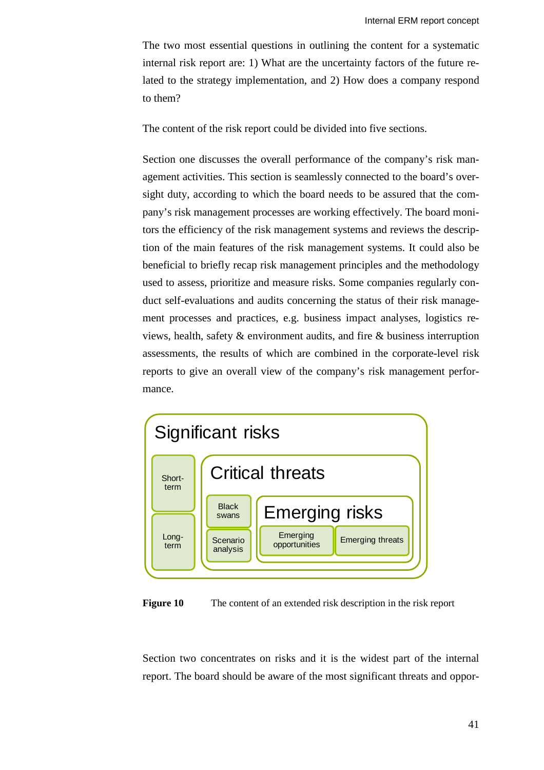The two most essential questions in outlining the content for a systematic internal risk report are: 1) What are the uncertainty factors of the future related to the strategy implementation, and 2) How does a company respond to them?

The content of the risk report could be divided into five sections.

Section one discusses the overall performance of the company's risk management activities. This section is seamlessly connected to the board's oversight duty, according to which the board needs to be assured that the company's risk management processes are working effectively. The board monitors the efficiency of the risk management systems and reviews the description of the main features of the risk management systems. It could also be beneficial to briefly recap risk management principles and the methodology used to assess, prioritize and measure risks. Some companies regularly conduct self-evaluations and audits concerning the status of their risk management processes and practices, e.g. business impact analyses, logistics reviews, health, safety & environment audits, and fire & business interruption assessments, the results of which are combined in the corporate-level risk reports to give an overall view of the company's risk management performance.





Section two concentrates on risks and it is the widest part of the internal report. The board should be aware of the most significant threats and oppor-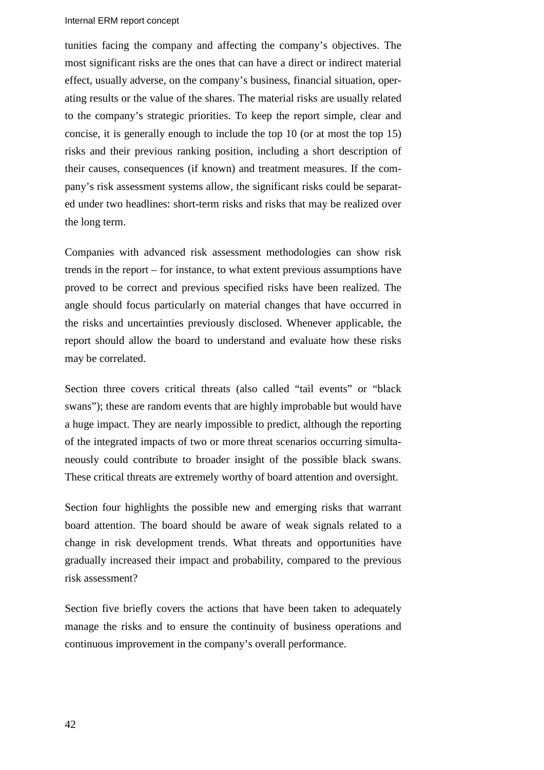#### Internal ERM report concept

tunities facing the company and affecting the company's objectives. The most significant risks are the ones that can have a direct or indirect material effect, usually adverse, on the company's business, financial situation, operating results or the value of the shares. The material risks are usually related to the company's strategic priorities. To keep the report simple, clear and concise, it is generally enough to include the top 10 (or at most the top 15) risks and their previous ranking position, including a short description of their causes, consequences (if known) and treatment measures. If the company's risk assessment systems allow, the significant risks could be separated under two headlines: short-term risks and risks that may be realized over the long term.

Companies with advanced risk assessment methodologies can show risk trends in the report – for instance, to what extent previous assumptions have proved to be correct and previous specified risks have been realized. The angle should focus particularly on material changes that have occurred in the risks and uncertainties previously disclosed. Whenever applicable, the report should allow the board to understand and evaluate how these risks may be correlated.

Section three covers critical threats (also called "tail events" or "black swans"); these are random events that are highly improbable but would have a huge impact. They are nearly impossible to predict, although the reporting of the integrated impacts of two or more threat scenarios occurring simultaneously could contribute to broader insight of the possible black swans. These critical threats are extremely worthy of board attention and oversight.

Section four highlights the possible new and emerging risks that warrant board attention. The board should be aware of weak signals related to a change in risk development trends. What threats and opportunities have gradually increased their impact and probability, compared to the previous risk assessment?

Section five briefly covers the actions that have been taken to adequately manage the risks and to ensure the continuity of business operations and continuous improvement in the company's overall performance.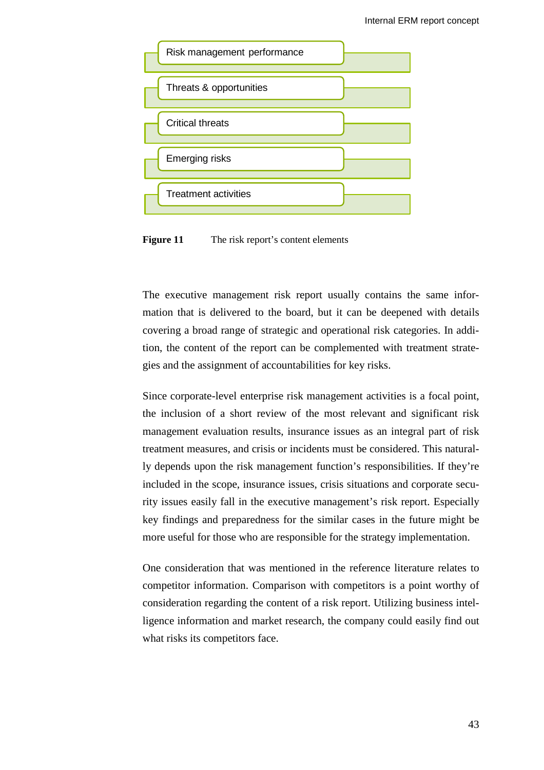

Figure 11 The risk report's content elements

The executive management risk report usually contains the same information that is delivered to the board, but it can be deepened with details covering a broad range of strategic and operational risk categories. In addition, the content of the report can be complemented with treatment strategies and the assignment of accountabilities for key risks.

Since corporate-level enterprise risk management activities is a focal point, the inclusion of a short review of the most relevant and significant risk management evaluation results, insurance issues as an integral part of risk treatment measures, and crisis or incidents must be considered. This naturally depends upon the risk management function's responsibilities. If they're included in the scope, insurance issues, crisis situations and corporate security issues easily fall in the executive management's risk report. Especially key findings and preparedness for the similar cases in the future might be more useful for those who are responsible for the strategy implementation.

One consideration that was mentioned in the reference literature relates to competitor information. Comparison with competitors is a point worthy of consideration regarding the content of a risk report. Utilizing business intelligence information and market research, the company could easily find out what risks its competitors face.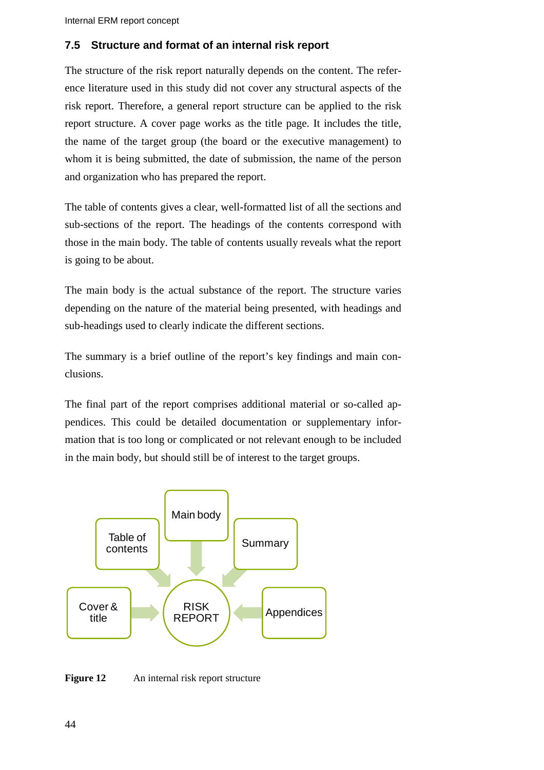## <span id="page-49-0"></span>**7.5 Structure and format of an internal risk report**

The structure of the risk report naturally depends on the content. The reference literature used in this study did not cover any structural aspects of the risk report. Therefore, a general report structure can be applied to the risk report structure. A cover page works as the title page. It includes the title, the name of the target group (the board or the executive management) to whom it is being submitted, the date of submission, the name of the person and organization who has prepared the report.

The table of contents gives a clear, well-formatted list of all the sections and sub-sections of the report. The headings of the contents correspond with those in the main body. The table of contents usually reveals what the report is going to be about.

The main body is the actual substance of the report. The structure varies depending on the nature of the material being presented, with headings and sub-headings used to clearly indicate the different sections.

The summary is a brief outline of the report's key findings and main conclusions.

The final part of the report comprises additional material or so-called appendices. This could be detailed documentation or supplementary information that is too long or complicated or not relevant enough to be included in the main body, but should still be of interest to the target groups.



**Figure 12** An internal risk report structure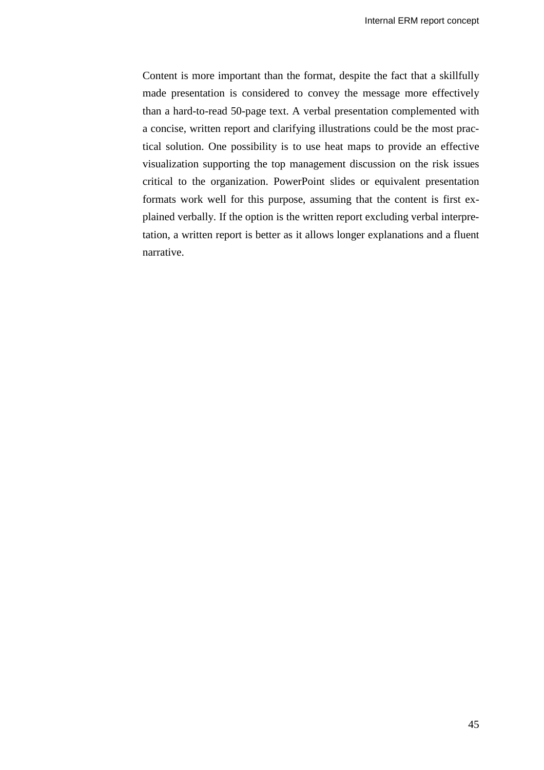Content is more important than the format, despite the fact that a skillfully made presentation is considered to convey the message more effectively than a hard-to-read 50-page text. A verbal presentation complemented with a concise, written report and clarifying illustrations could be the most practical solution. One possibility is to use heat maps to provide an effective visualization supporting the top management discussion on the risk issues critical to the organization. PowerPoint slides or equivalent presentation formats work well for this purpose, assuming that the content is first explained verbally. If the option is the written report excluding verbal interpretation, a written report is better as it allows longer explanations and a fluent narrative.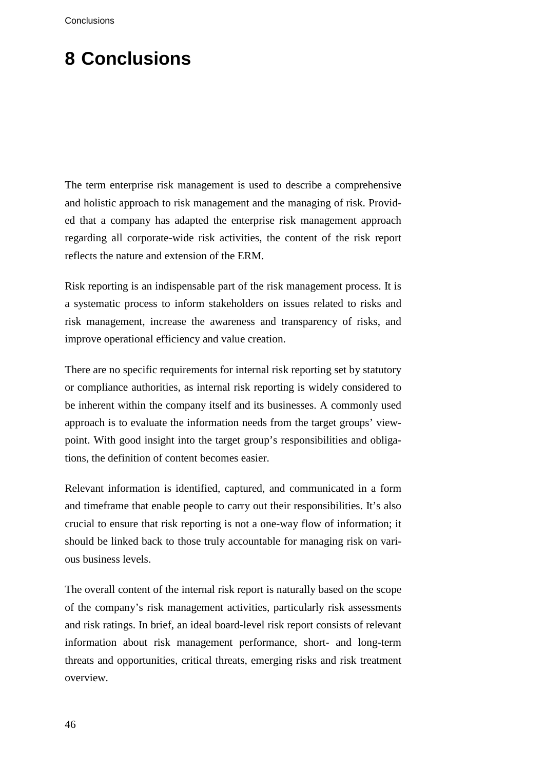# <span id="page-51-0"></span>**8 Conclusions**

The term enterprise risk management is used to describe a comprehensive and holistic approach to risk management and the managing of risk. Provided that a company has adapted the enterprise risk management approach regarding all corporate-wide risk activities, the content of the risk report reflects the nature and extension of the ERM.

Risk reporting is an indispensable part of the risk management process. It is a systematic process to inform stakeholders on issues related to risks and risk management, increase the awareness and transparency of risks, and improve operational efficiency and value creation.

There are no specific requirements for internal risk reporting set by statutory or compliance authorities, as internal risk reporting is widely considered to be inherent within the company itself and its businesses. A commonly used approach is to evaluate the information needs from the target groups' viewpoint. With good insight into the target group's responsibilities and obligations, the definition of content becomes easier.

Relevant information is identified, captured, and communicated in a form and timeframe that enable people to carry out their responsibilities. It's also crucial to ensure that risk reporting is not a one-way flow of information; it should be linked back to those truly accountable for managing risk on various business levels.

The overall content of the internal risk report is naturally based on the scope of the company's risk management activities, particularly risk assessments and risk ratings. In brief, an ideal board-level risk report consists of relevant information about risk management performance, short- and long-term threats and opportunities, critical threats, emerging risks and risk treatment overview.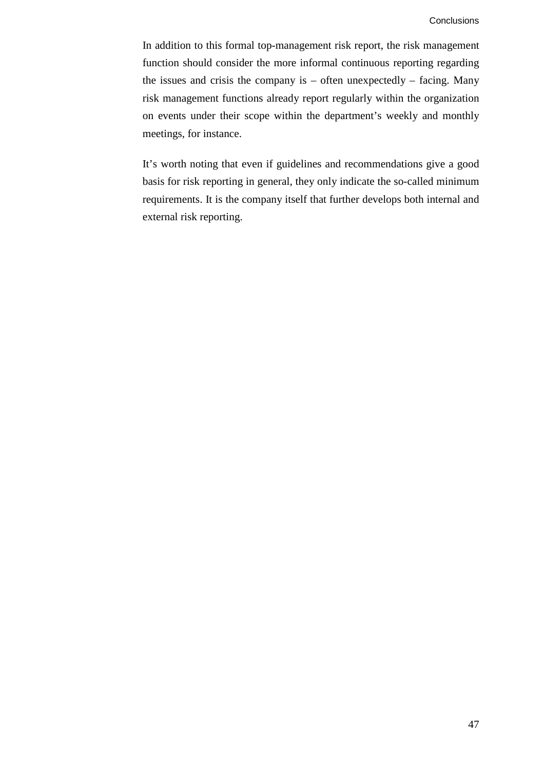In addition to this formal top-management risk report, the risk management function should consider the more informal continuous reporting regarding the issues and crisis the company is  $-$  often unexpectedly  $-$  facing. Many risk management functions already report regularly within the organization on events under their scope within the department's weekly and monthly meetings, for instance.

It's worth noting that even if guidelines and recommendations give a good basis for risk reporting in general, they only indicate the so-called minimum requirements. It is the company itself that further develops both internal and external risk reporting.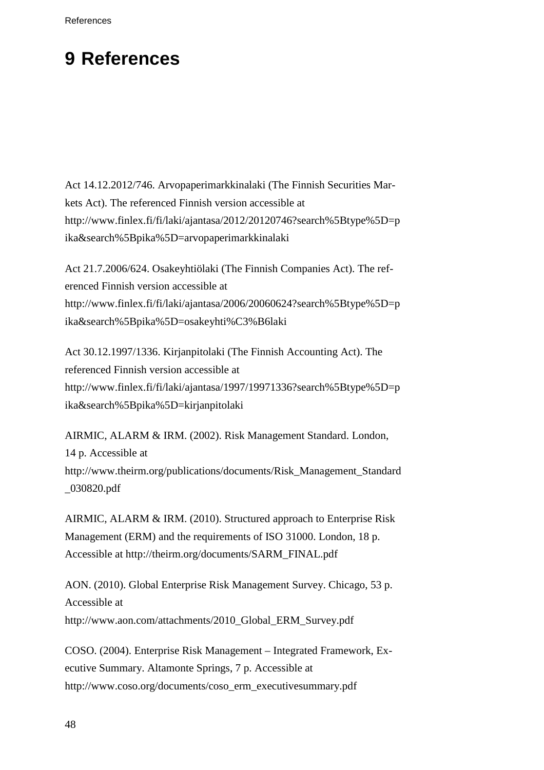## <span id="page-53-0"></span>**9 References**

Act 14.12.2012/746. Arvopaperimarkkinalaki (The Finnish Securities Markets Act). The referenced Finnish version accessible at http://www.finlex.fi/fi/laki/ajantasa/2012/20120746?search%5Btype%5D=p ika&search%5Bpika%5D=arvopaperimarkkinalaki

Act 21.7.2006/624. Osakeyhtiölaki (The Finnish Companies Act). The referenced Finnish version accessible at http://www.finlex.fi/fi/laki/ajantasa/2006/20060624?search%5Btype%5D=p ika&search%5Bpika%5D=osakeyhti%C3%B6laki

Act 30.12.1997/1336. Kirjanpitolaki (The Finnish Accounting Act). The referenced Finnish version accessible at http://www.finlex.fi/fi/laki/ajantasa/1997/19971336?search%5Btype%5D=p ika&search%5Bpika%5D=kirjanpitolaki

AIRMIC, ALARM & IRM. (2002). Risk Management Standard. London, 14 p. Accessible at http://www.theirm.org/publications/documents/Risk\_Management\_Standard \_030820.pdf

AIRMIC, ALARM & IRM. (2010). Structured approach to Enterprise Risk Management (ERM) and the requirements of ISO 31000. London, 18 p. Accessible at http://theirm.org/documents/SARM\_FINAL.pdf

AON. (2010). Global Enterprise Risk Management Survey. Chicago, 53 p. Accessible at http://www.aon.com/attachments/2010\_Global\_ERM\_Survey.pdf

COSO. (2004). Enterprise Risk Management – Integrated Framework, Executive Summary. Altamonte Springs, 7 p. Accessible at http://www.coso.org/documents/coso\_erm\_executivesummary.pdf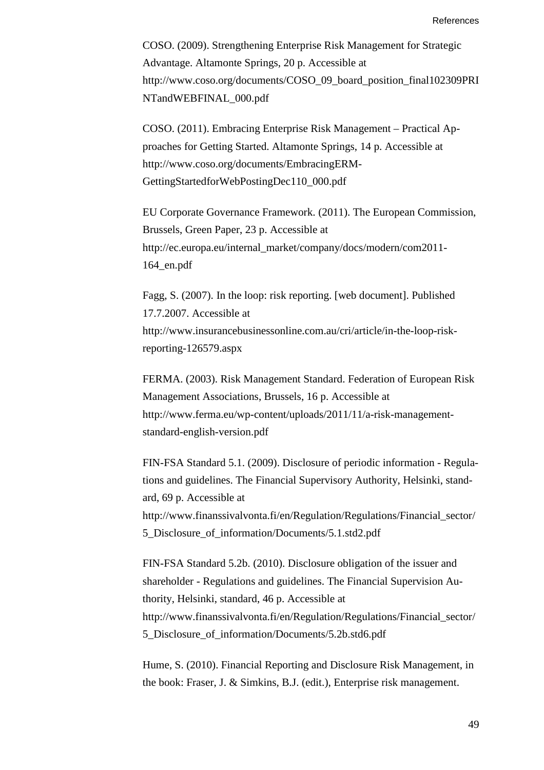COSO. (2009). Strengthening Enterprise Risk Management for Strategic Advantage. Altamonte Springs, 20 p. Accessible at http://www.coso.org/documents/COSO\_09\_board\_position\_final102309PRI NTandWEBFINAL\_000.pdf

COSO. (2011). Embracing Enterprise Risk Management – Practical Approaches for Getting Started. Altamonte Springs, 14 p. Accessible at http://www.coso.org/documents/EmbracingERM-GettingStartedforWebPostingDec110\_000.pdf

EU Corporate Governance Framework. (2011). The European Commission, Brussels, Green Paper, 23 p. Accessible at http://ec.europa.eu/internal\_market/company/docs/modern/com2011- 164\_en.pdf

Fagg, S. (2007). In the loop: risk reporting. [web document]. Published 17.7.2007. Accessible at http://www.insurancebusinessonline.com.au/cri/article/in-the-loop-riskreporting-126579.aspx

FERMA. (2003). Risk Management Standard. Federation of European Risk Management Associations, Brussels, 16 p. Accessible at http://www.ferma.eu/wp-content/uploads/2011/11/a-risk-managementstandard-english-version.pdf

FIN-FSA Standard 5.1. (2009). Disclosure of periodic information - Regulations and guidelines. The Financial Supervisory Authority, Helsinki, standard, 69 p. Accessible at http://www.finanssivalvonta.fi/en/Regulation/Regulations/Financial\_sector/ 5\_Disclosure\_of\_information/Documents/5.1.std2.pdf

FIN-FSA Standard 5.2b. (2010). Disclosure obligation of the issuer and shareholder - Regulations and guidelines. The Financial Supervision Authority, Helsinki, standard, 46 p. Accessible at http://www.finanssivalvonta.fi/en/Regulation/Regulations/Financial\_sector/ 5\_Disclosure\_of\_information/Documents/5.2b.std6.pdf

Hume, S. (2010). Financial Reporting and Disclosure Risk Management, in the book: Fraser, J. & Simkins, B.J. (edit.), Enterprise risk management.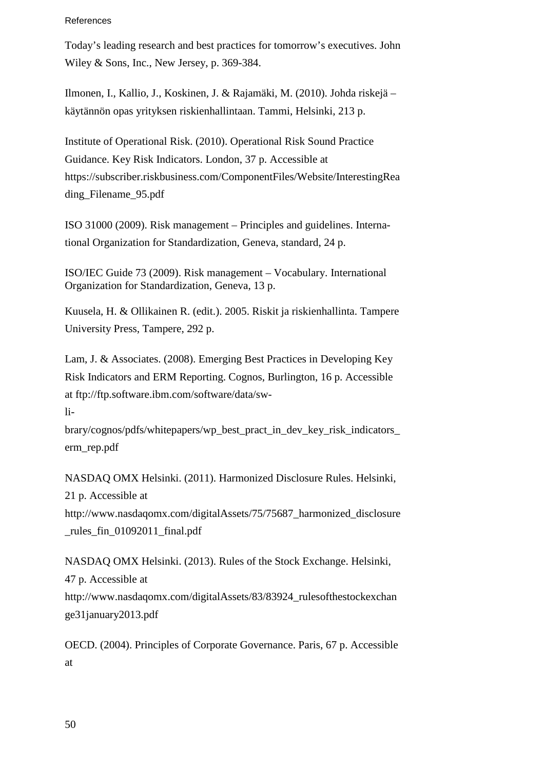#### References

Today's leading research and best practices for tomorrow's executives. John Wiley & Sons, Inc., New Jersey, p. 369-384.

Ilmonen, I., Kallio, J., Koskinen, J. & Rajamäki, M. (2010). Johda riskejä – käytännön opas yrityksen riskienhallintaan. Tammi, Helsinki, 213 p.

Institute of Operational Risk. (2010). Operational Risk Sound Practice Guidance. Key Risk Indicators. London, 37 p. Accessible at https://subscriber.riskbusiness.com/ComponentFiles/Website/InterestingRea ding\_Filename\_95.pdf

ISO 31000 (2009). Risk management – Principles and guidelines. International Organization for Standardization, Geneva, standard, 24 p.

ISO/IEC Guide 73 (2009). Risk management – Vocabulary. International Organization for Standardization, Geneva, 13 p.

Kuusela, H. & Ollikainen R. (edit.). 2005. Riskit ja riskienhallinta. Tampere University Press, Tampere, 292 p.

Lam, J. & Associates. (2008). Emerging Best Practices in Developing Key Risk Indicators and ERM Reporting. Cognos, Burlington, 16 p. Accessible at ftp://ftp.software.ibm.com/software/data/sw-

li-

brary/cognos/pdfs/whitepapers/wp\_best\_pract\_in\_dev\_key\_risk\_indicators\_ erm\_rep.pdf

NASDAQ OMX Helsinki. (2011). Harmonized Disclosure Rules. Helsinki, 21 p. Accessible at http://www.nasdaqomx.com/digitalAssets/75/75687\_harmonized\_disclosure \_rules\_fin\_01092011\_final.pdf

NASDAQ OMX Helsinki. (2013). Rules of the Stock Exchange. Helsinki, 47 p. Accessible at http://www.nasdaqomx.com/digitalAssets/83/83924\_rulesofthestockexchan ge31january2013.pdf

OECD. (2004). Principles of Corporate Governance. Paris, 67 p. Accessible at